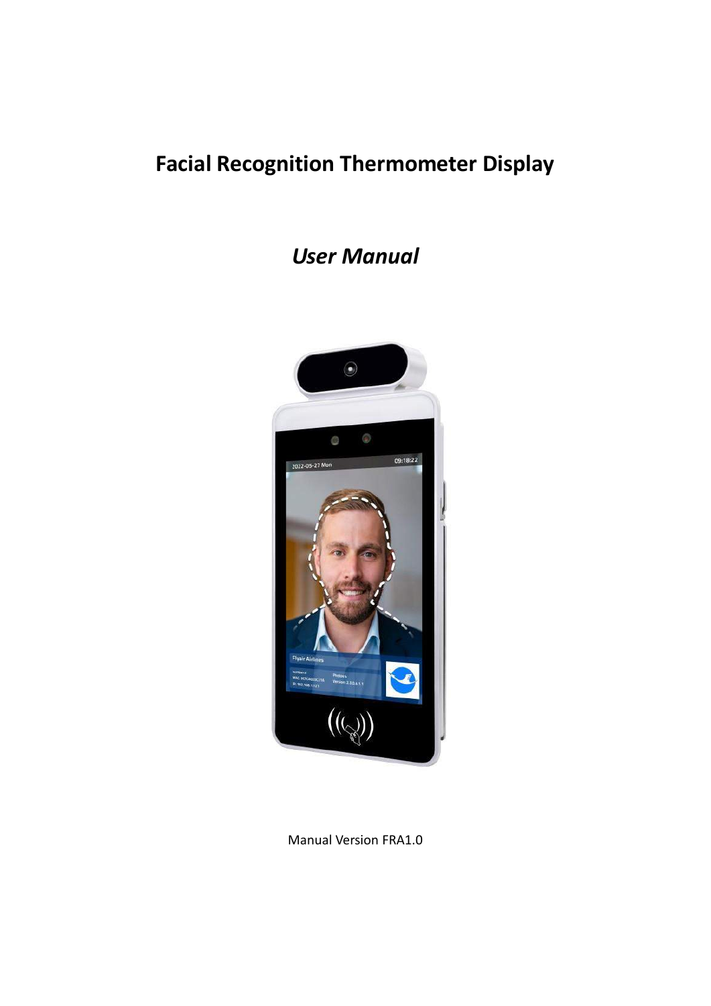# **Facial Recognition Thermometer Display**

*User Manual*



Manual Version FRA1.0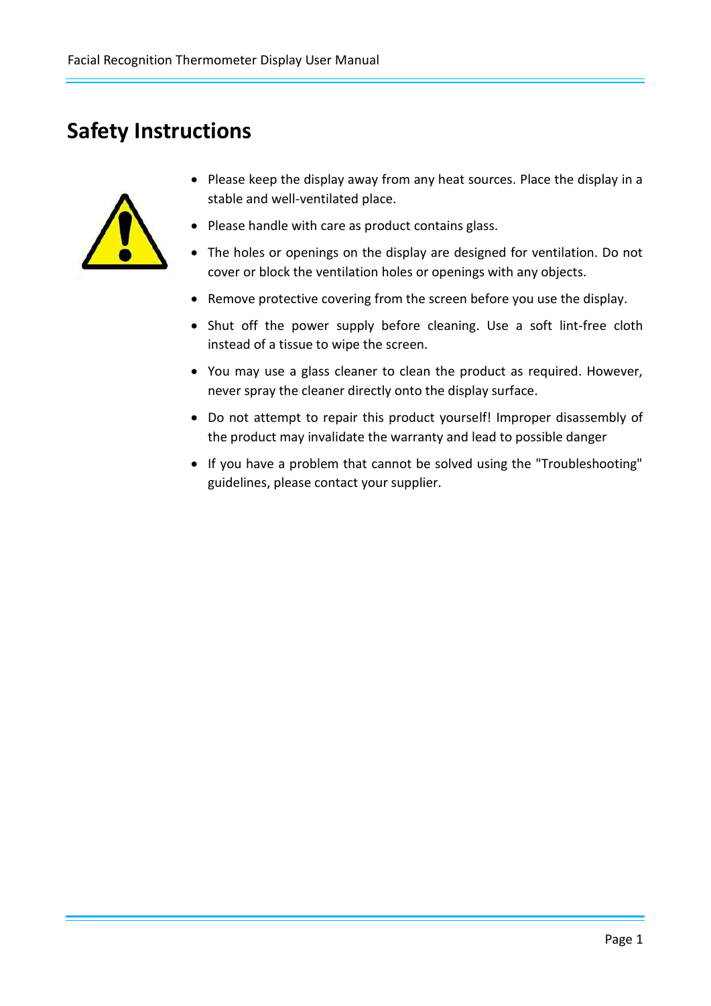# **Safety Instructions**



- Please keep the display away from any heat sources. Place the display in a stable and well-ventilated place.
- Please handle with care as product contains glass.
- The holes or openings on the display are designed for ventilation. Do not cover or block the ventilation holes or openings with any objects.
- Remove protective covering from the screen before you use the display.
- Shut off the power supply before cleaning. Use a soft lint-free cloth instead of a tissue to wipe the screen.
- You may use a glass cleaner to clean the product as required. However, never spray the cleaner directly onto the display surface.
- Do not attempt to repair this product yourself! Improper disassembly of the product may invalidate the warranty and lead to possible danger
- If you have a problem that cannot be solved using the "Troubleshooting" guidelines, please contact your supplier.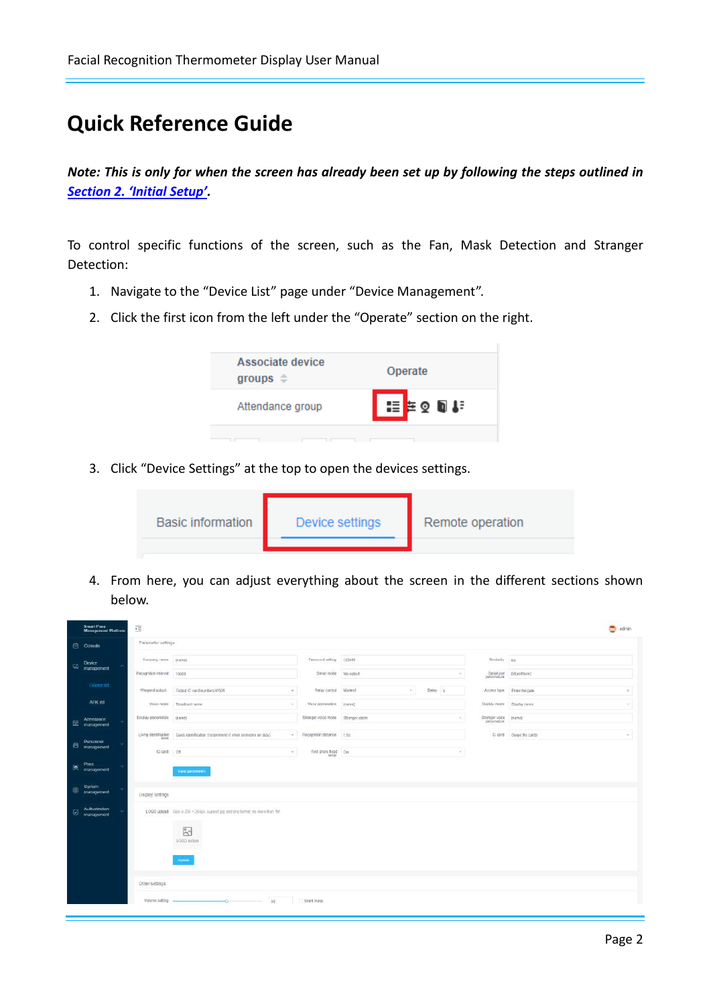# **Quick Reference Guide**

*Note: This is only for when the screen has already been set up by following the steps outlined in Section 2. ['Initial Setup'](#page-6-0).*

To control specific functions of the screen, such as the Fan, Mask Detection and Stranger Detection:

- 1. Navigate to the "Device List" page under "Device Management".
- 2. Click the first icon from the left under the "Operate" section on the right.



3. Click "Device Settings" at the top to open the devices settings.



4. From here, you can adjust everything about the screen in the different sections shown below.

| Smart Pans<br><b>Management Platform</b> | 彊                            |                                                                                                                                                                                                                               |                                     |        |                 |                                       |                                      | admin  |
|------------------------------------------|------------------------------|-------------------------------------------------------------------------------------------------------------------------------------------------------------------------------------------------------------------------------|-------------------------------------|--------|-----------------|---------------------------------------|--------------------------------------|--------|
| <b>2</b> Comole                          | Parameter settings           |                                                                                                                                                                                                                               |                                     |        |                 |                                       |                                      |        |
| Device<br>$\mathbb{C} \mathbb{D}$        | Company name (harro)         |                                                                                                                                                                                                                               | Passored selling 123450             |        |                 | fiesterly ap-                         |                                      |        |
| management                               | Recognition intervel: 10000. |                                                                                                                                                                                                                               | Senat mode No output                |        | $\sim$          |                                       | Sesili port (obardNum)<br>personatoe |        |
| Descents:                                |                              | Wwgwrd sults/r: Cubuck IC card numbers///526<br>$\sim$                                                                                                                                                                        | Relay control Modes f               | $\sim$ | Deley 5         |                                       | Access type Einter that gain         | $\sim$ |
| APK Ist                                  |                              | Voce mode Broadcast name<br>$\sim$                                                                                                                                                                                            | Voca partennize (punce)             |        |                 |                                       | Display mode Display name            |        |
| <b>Attendance</b><br>E management        | Display percensibe (name)    |                                                                                                                                                                                                                               | Stranger voice mode Biranger alates |        |                 | Stranger voice (mame)<br>personalize: |                                      |        |
|                                          |                              | Living literations Cavos identification (recommend it when semaces on duty)<br>$\sim$                                                                                                                                         | Fleckgritten distance (1.58)        |        |                 |                                       | IC cont : bwips the cantal           |        |
| e Personner<br>en management             | ID card  Of                  | $\sim$                                                                                                                                                                                                                        | Red photo Bood On<br>lawin'         |        | $\mathcal{C}$ . |                                       |                                      |        |
| Pass.<br>$(6)$ $Pess$                    |                              | <b>Base parameters</b>                                                                                                                                                                                                        |                                     |        |                 |                                       |                                      |        |
| System<br><sup>(3)</sup> management      | Display settings             |                                                                                                                                                                                                                               |                                     |        |                 |                                       |                                      |        |
| Authorization<br>ø<br>management         |                              | LOGO upload Libra is 256 - 256px; supporting and one format, no more than 1M.<br>R <sub>a</sub><br>LODD picture<br>Uptood:                                                                                                    |                                     |        |                 |                                       |                                      |        |
|                                          | Other settings               |                                                                                                                                                                                                                               |                                     |        |                 |                                       |                                      |        |
|                                          |                              | Volume setting and content and content of the content of the content of the content of the content of the content of the content of the content of the content of the content of the content of the content of the content of | Start mode                          |        |                 |                                       |                                      |        |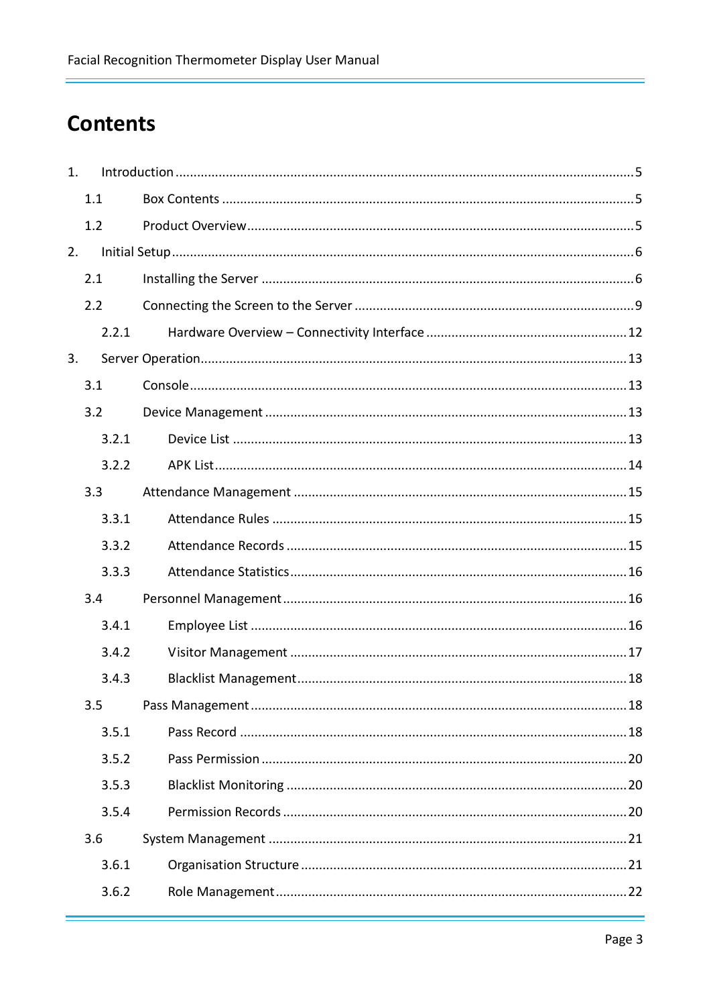# **Contents**

| 1. |       |  |
|----|-------|--|
|    | 1.1   |  |
|    | 1.2   |  |
| 2. |       |  |
|    | 2.1   |  |
|    | 2.2   |  |
|    | 2.2.1 |  |
| 3. |       |  |
|    | 3.1   |  |
|    | 3.2   |  |
|    | 3.2.1 |  |
|    | 3.2.2 |  |
|    | 3.3   |  |
|    | 3.3.1 |  |
|    | 3.3.2 |  |
|    | 3.3.3 |  |
|    | 3.4   |  |
|    | 3.4.1 |  |
|    | 3.4.2 |  |
|    | 3.4.3 |  |
|    | 3.5   |  |
|    | 3.5.1 |  |
|    | 3.5.2 |  |
|    | 3.5.3 |  |
|    | 3.5.4 |  |
|    | 3.6   |  |
|    | 3.6.1 |  |
|    | 3.6.2 |  |
|    |       |  |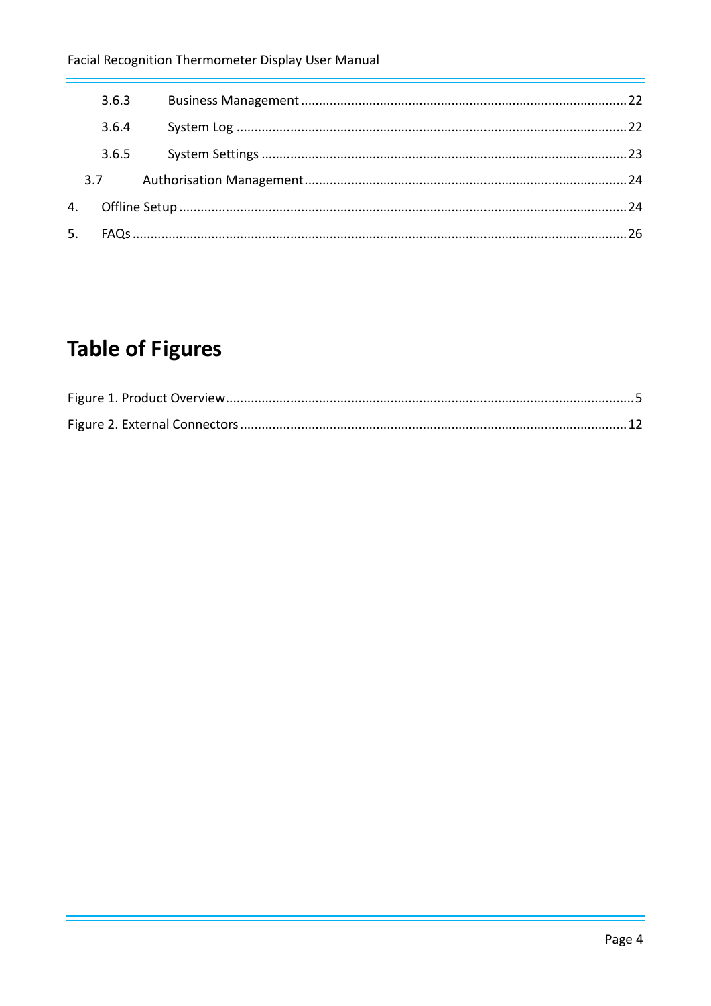|    | 3.6.3 |  |
|----|-------|--|
|    | 3.6.4 |  |
|    | 3.6.5 |  |
|    | 3.7   |  |
|    |       |  |
| 5. |       |  |

# **Table of Figures**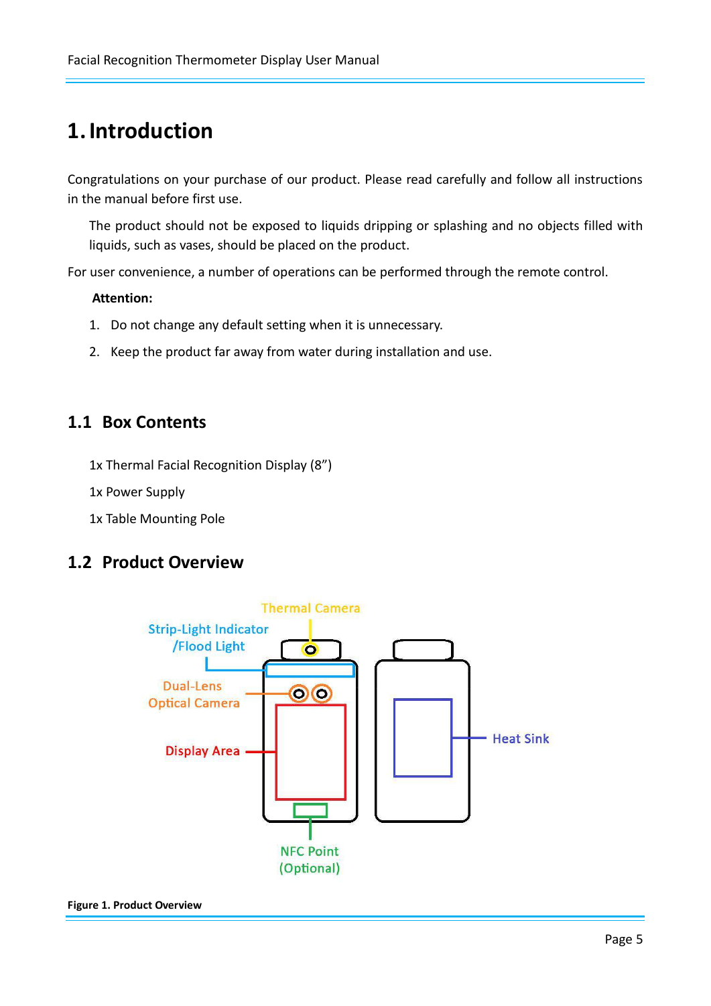# **1.Introduction**

Congratulations on your purchase of our product. Please read carefully and follow all instructions in the manual before first use.

The product should not be exposed to liquids dripping or splashing and no objects filled with liquids, such as vases, should be placed on the product.

For user convenience, a number of operations can be performed through the remote control.

#### **Attention:**

- 1. Do not change any default setting when it is unnecessary.
- 2. Keep the product far away from water during installation and use.

### **1.1 Box Contents**

1x Thermal Facial Recognition Display (8")

1x Power Supply

1x Table Mounting Pole

### **1.2 Product Overview**



#### <span id="page-5-0"></span>**Figure 1. Product Overview**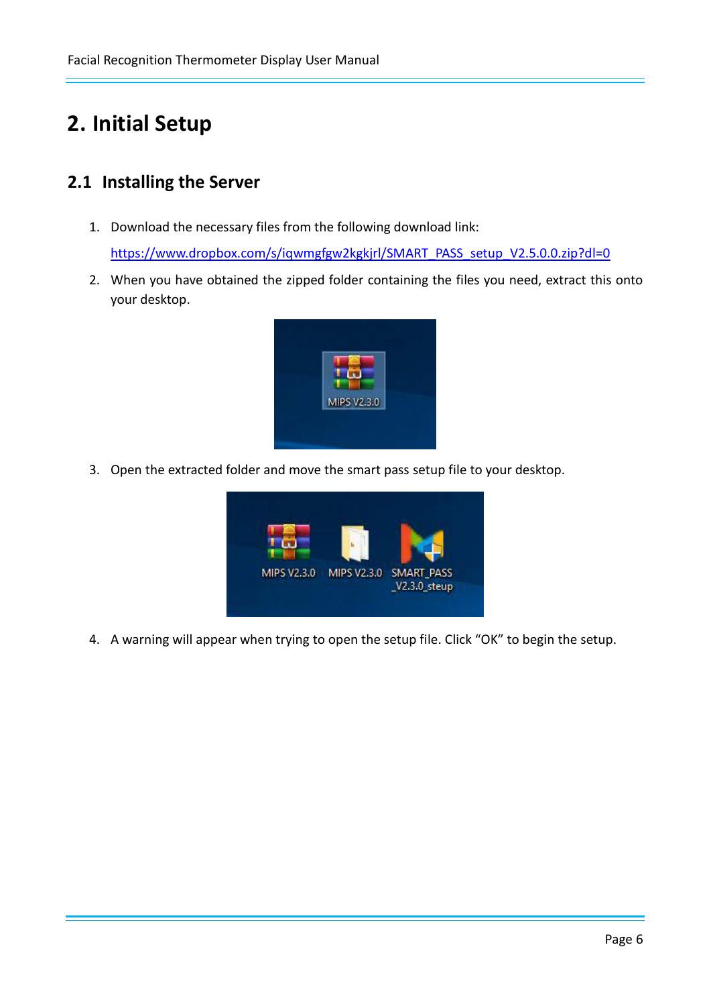# <span id="page-6-0"></span>**2. Initial Setup**

### **2.1 Installing the Server**

1. Download the necessary files from the following download link:

[https://www.dropbox.com/s/iqwmgfgw2kgkjrl/SMART\\_PASS\\_setup\\_V2.5.0.0.zip?dl=0](https://www.dropbox.com/s/iqwmgfgw2kgkjrl/SMART_PASS_setup_V2.5.0.0.zip?dl=0)

2. When you have obtained the zipped folder containing the files you need, extract this onto your desktop.



3. Open the extracted folder and move the smart pass setup file to your desktop.



4. A warning will appear when trying to open the setup file. Click "OK" to begin the setup.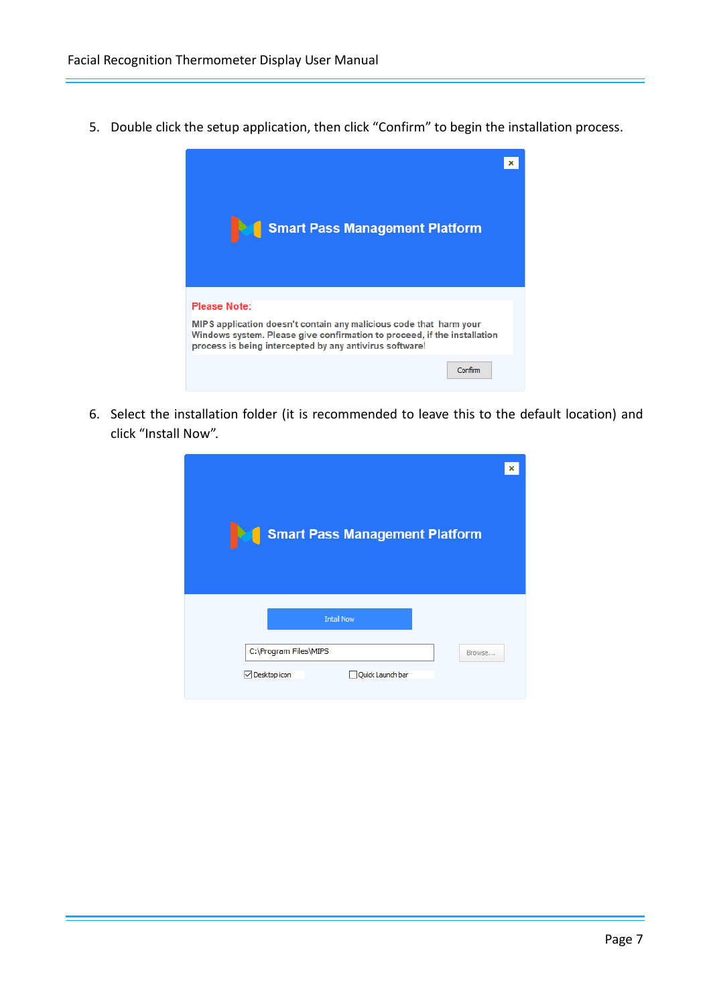5. Double click the setup application, then click "Confirm" to begin the installation process.



6. Select the installation folder (it is recommended to leave this to the default location) and click "Install Now".

| <b>Smart Pass Management Platform</b><br>۰۱                           |
|-----------------------------------------------------------------------|
| <b>Intall Now</b>                                                     |
| C:\Program Files\MIPS<br>Browse<br>□ Desktop icon<br>Quick Launch bar |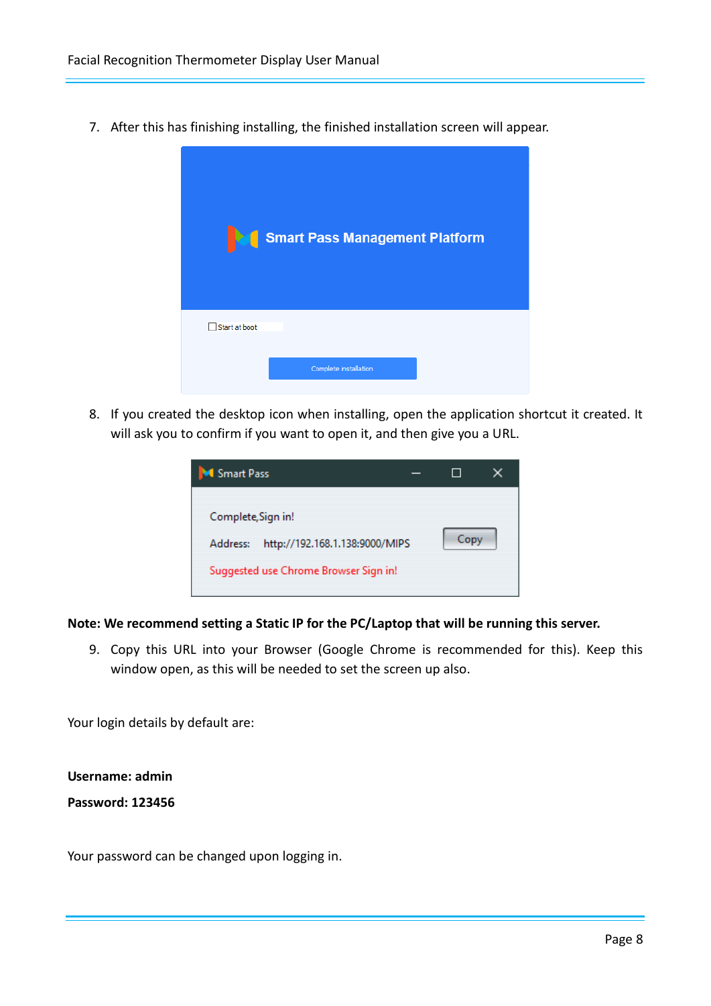7. After this has finishing installing, the finished installation screen will appear.



8. If you created the desktop icon when installing, open the application shortcut it created. It will ask you to confirm if you want to open it, and then give you a URL.



#### **Note: We recommend setting a Static IP for the PC/Laptop that will be running this server.**

9. Copy this URL into your Browser (Google Chrome is recommended for this). Keep this window open, as this will be needed to set the screen up also.

Your login details by default are:

**Username: admin**

**Password: 123456**

Your password can be changed upon logging in.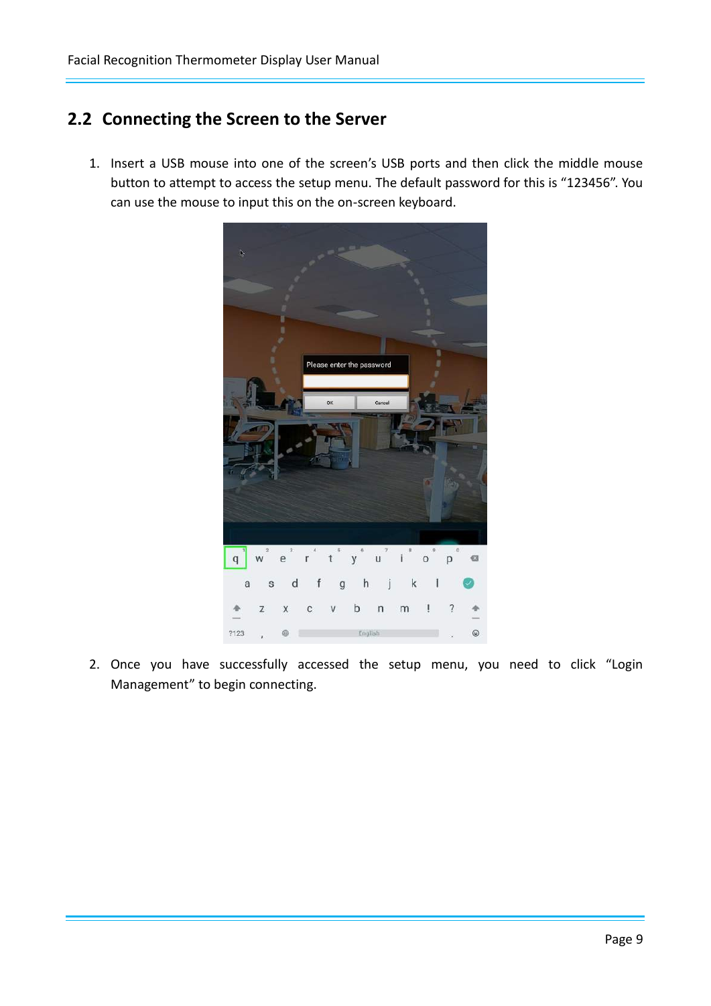## **2.2 Connecting the Screen to the Server**

1. Insert a USB mouse into one of the screen's USB ports and then click the middle mouse button to attempt to access the setup menu. The default password for this is "123456". You can use the mouse to input this on the on-screen keyboard.



2. Once you have successfully accessed the setup menu, you need to click "Login Management" to begin connecting.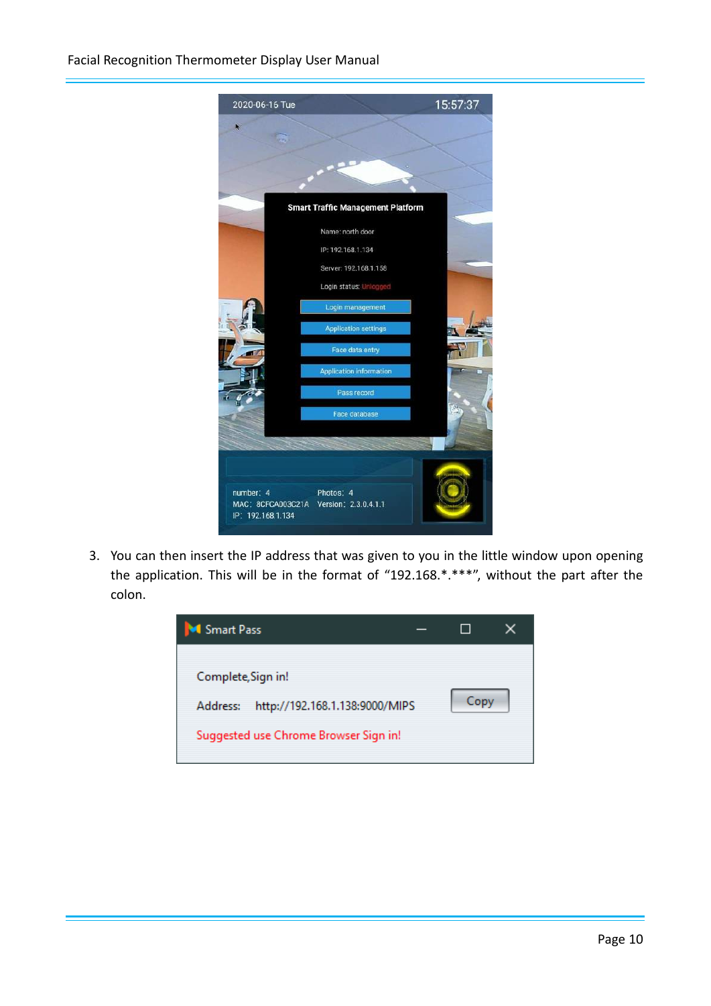

3. You can then insert the IP address that was given to you in the little window upon opening the application. This will be in the format of "192.168.\*.\*\*\*", without the part after the colon.

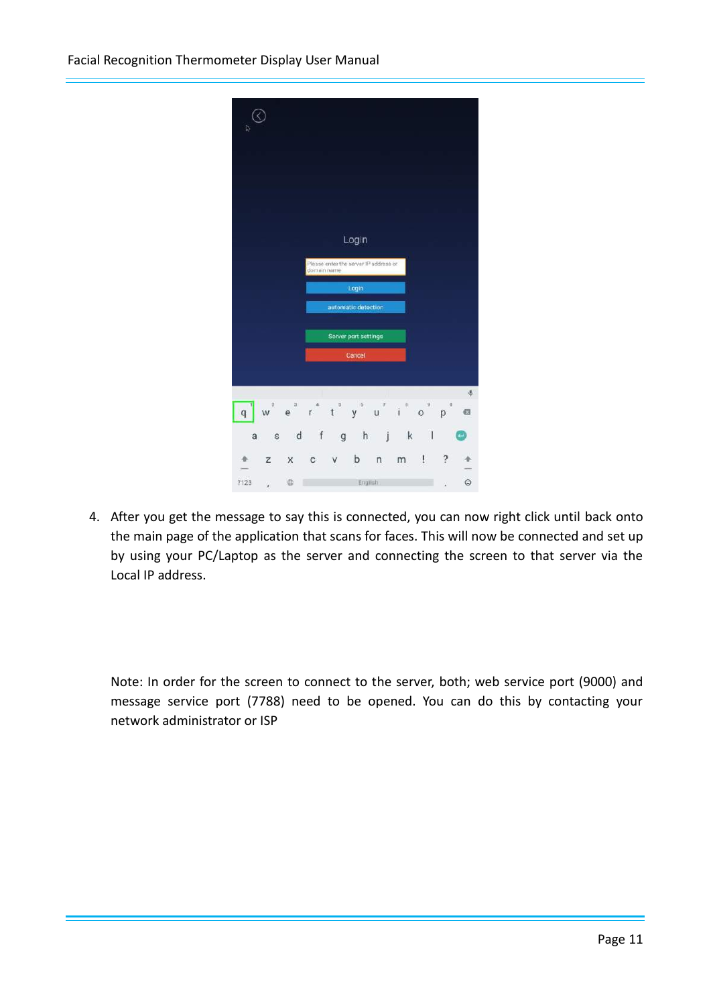| К<br>$\mathbb{Q}$ |    |             |              |              |                      |                                       |             |              |                          |             |
|-------------------|----|-------------|--------------|--------------|----------------------|---------------------------------------|-------------|--------------|--------------------------|-------------|
|                   |    |             |              |              |                      |                                       |             |              |                          |             |
|                   |    |             |              |              |                      |                                       |             |              |                          |             |
|                   |    |             |              |              |                      |                                       |             |              |                          |             |
|                   |    |             |              |              |                      |                                       |             |              |                          |             |
|                   |    |             |              |              | Login                |                                       |             |              |                          |             |
|                   |    |             | domain name  |              |                      | Please enter the server IP address or |             |              |                          |             |
|                   |    |             |              |              | Login                |                                       |             |              |                          |             |
|                   |    |             |              |              | automatic detection  |                                       |             |              |                          |             |
|                   |    |             |              |              | Server port settings |                                       |             |              |                          |             |
|                   |    |             |              |              | Cancel               |                                       |             |              |                          |             |
|                   |    |             |              |              |                      |                                       |             |              |                          |             |
| q                 | ž  | e           |              |              |                      |                                       |             |              | $\theta$<br>p            | $\Phi$<br>G |
|                   |    |             |              |              |                      |                                       |             | $\mathbf{1}$ |                          |             |
| a                 | S  |             | $d$ f        | $\mathbf{g}$ | h                    | $\mathbf{j}$                          | $\mathsf k$ |              |                          |             |
|                   | Z  | $\mathsf X$ | $\mathbf{C}$ | V            | b                    | n                                     | m           | ţ            | $\overline{\phantom{a}}$ |             |
| 7123              | l, | @           |              |              | English:             |                                       |             |              |                          | $\odot$     |

4. After you get the message to say this is connected, you can now right click until back onto the main page of the application that scans for faces. This will now be connected and set up by using your PC/Laptop as the server and connecting the screen to that server via the Local IP address.

Note: In order for the screen to connect to the server, both; web service port (9000) and message service port (7788) need to be opened. You can do this by contacting your network administrator or ISP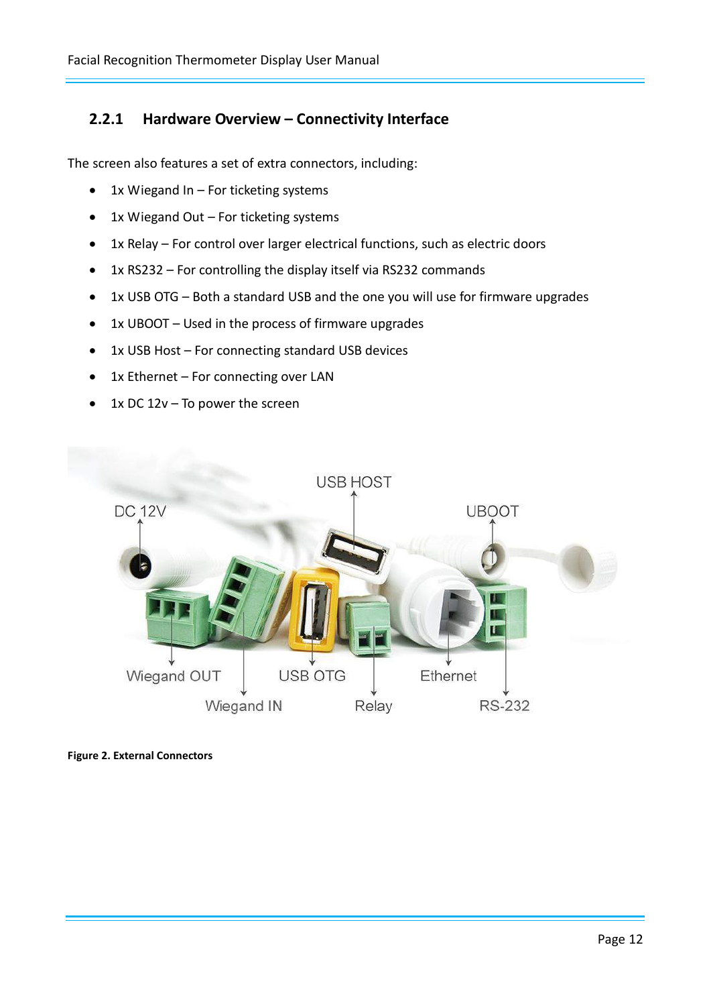## **2.2.1 Hardware Overview – Connectivity Interface**

The screen also features a set of extra connectors, including:

- $\bullet$  1x Wiegand In For ticketing systems
- $\bullet$  1x Wiegand Out For ticketing systems
- 1x Relay For control over larger electrical functions, such as electric doors
- 1x RS232 For controlling the display itself via RS232 commands
- 1x USB OTG Both a standard USB and the one you will use for firmware upgrades
- 1x UBOOT Used in the process of firmware upgrades
- 1x USB Host For connecting standard USB devices
- 1x Ethernet For connecting over LAN
- 1x DC 12v To power the screen

<span id="page-12-0"></span>

**Figure 2. External Connectors**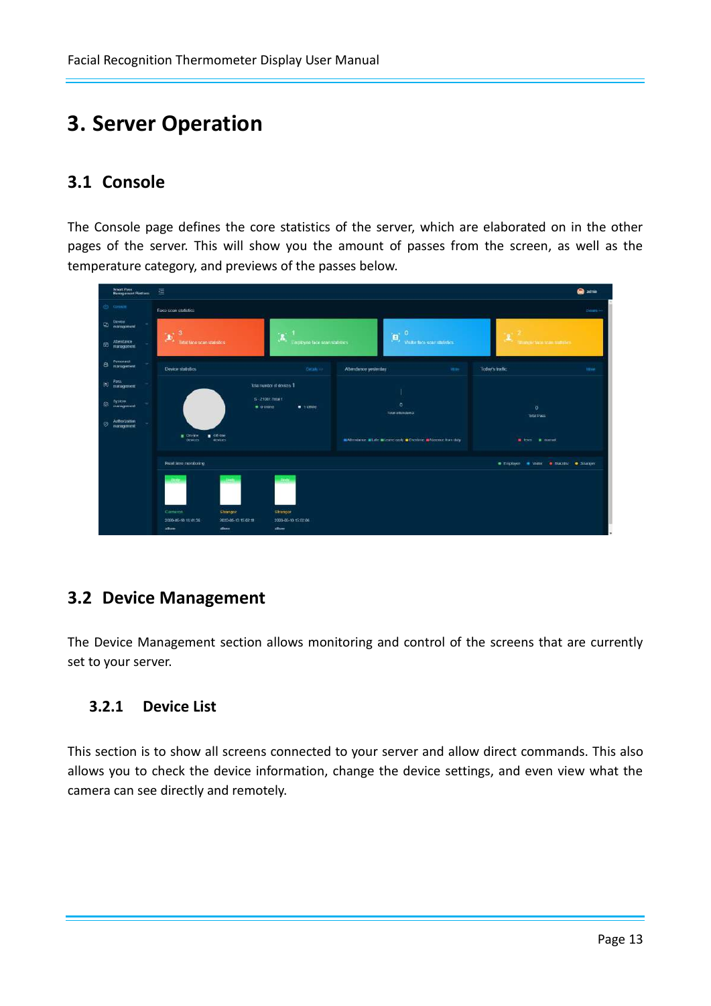# **3. Server Operation**

## **3.1 Console**

The Console page defines the core statistics of the server, which are elaborated on in the other pages of the server. This will show you the amount of passes from the screen, as well as the temperature category, and previews of the passes below.



## **3.2 Device Management**

The Device Management section allows monitoring and control of the screens that are currently set to your server.

### **3.2.1 Device List**

This section is to show all screens connected to your server and allow direct commands. This also allows you to check the device information, change the device settings, and even view what the camera can see directly and remotely.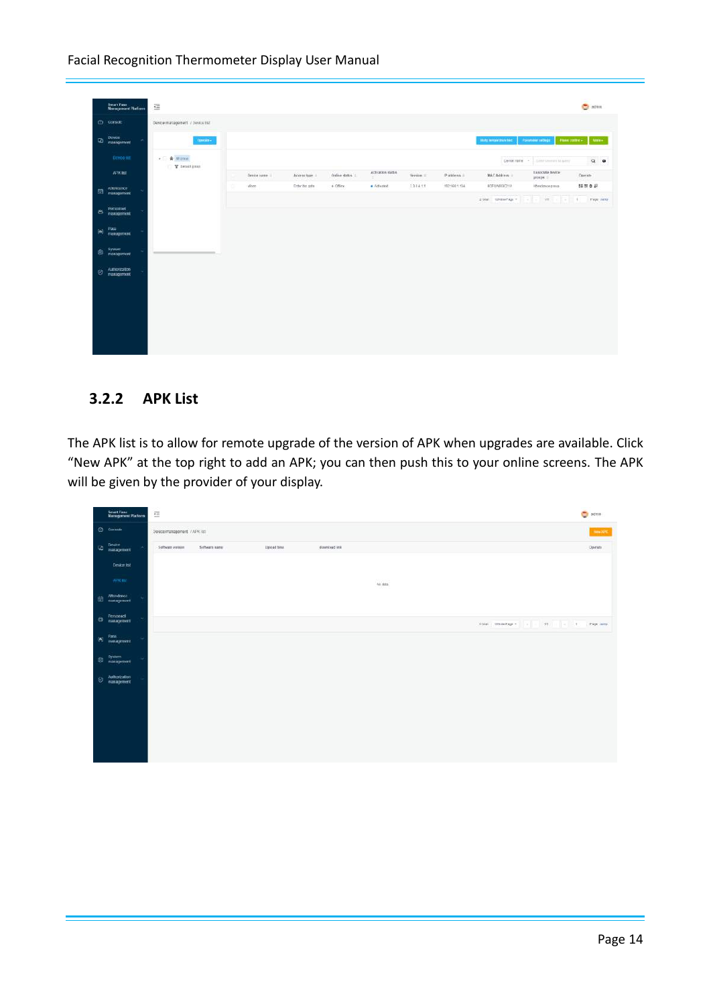| C Console:<br>Device marragement / Device tel:<br>Device.<br><b>Page conver-</b><br>$\omega$<br>Polombia satuga<br><b>Harry American Mark</b><br>Ориган -<br>management<br>OUVEO ME<br>• 會用2000<br>Ontarge - Line towers seen<br>V tweet green<br>n<br>APK 83<br>Activation states:<br>ANNOCKED BAROK<br>$V$ estion $=$<br>(Panistes 1)<br>MACAddress =<br>Oxfor status 1<br>Deerste<br>Device name ii<br>Access type =<br>÷<br>groups ::<br>102.168.1.154<br>ECFONOMIC21R<br>7.334.11<br>ocello:<br>Enter the gate<br>a Office<br>· Achered<br>Abendonce group<br>Atlentimor<br>日<br>management<br>2 bis: 124864 Apr - 1<br><b>NO</b><br>Personnel<br>息<br>management<br><b>Figs</b><br>паваропите<br>-System<br>趣<br>manapamore<br>Authorization<br>ø<br>панаретек | Smart Paus<br>Management Platform | 彊 |  |  |  |  | ۰<br>edma     |
|----------------------------------------------------------------------------------------------------------------------------------------------------------------------------------------------------------------------------------------------------------------------------------------------------------------------------------------------------------------------------------------------------------------------------------------------------------------------------------------------------------------------------------------------------------------------------------------------------------------------------------------------------------------------------------------------------------------------------------------------------------------------|-----------------------------------|---|--|--|--|--|---------------|
|                                                                                                                                                                                                                                                                                                                                                                                                                                                                                                                                                                                                                                                                                                                                                                      |                                   |   |  |  |  |  |               |
|                                                                                                                                                                                                                                                                                                                                                                                                                                                                                                                                                                                                                                                                                                                                                                      |                                   |   |  |  |  |  | $N_{\rm H}$   |
|                                                                                                                                                                                                                                                                                                                                                                                                                                                                                                                                                                                                                                                                                                                                                                      |                                   |   |  |  |  |  | $Q$ $\alpha$  |
|                                                                                                                                                                                                                                                                                                                                                                                                                                                                                                                                                                                                                                                                                                                                                                      |                                   |   |  |  |  |  |               |
|                                                                                                                                                                                                                                                                                                                                                                                                                                                                                                                                                                                                                                                                                                                                                                      |                                   |   |  |  |  |  | $22 \pm 0.47$ |
|                                                                                                                                                                                                                                                                                                                                                                                                                                                                                                                                                                                                                                                                                                                                                                      |                                   |   |  |  |  |  | Page Jamp     |
|                                                                                                                                                                                                                                                                                                                                                                                                                                                                                                                                                                                                                                                                                                                                                                      |                                   |   |  |  |  |  |               |
|                                                                                                                                                                                                                                                                                                                                                                                                                                                                                                                                                                                                                                                                                                                                                                      |                                   |   |  |  |  |  |               |
|                                                                                                                                                                                                                                                                                                                                                                                                                                                                                                                                                                                                                                                                                                                                                                      |                                   |   |  |  |  |  |               |
|                                                                                                                                                                                                                                                                                                                                                                                                                                                                                                                                                                                                                                                                                                                                                                      |                                   |   |  |  |  |  |               |

#### Facial Recognition Thermometer Display User Manual

#### **3.2.2 APK List**

The APK list is to allow for remote upgrade of the version of APK when upgrades are available. Click "New APK" at the top right to add an APK; you can then push this to your online screens. The APK will be given by the provider of your display.

| Smart Pass<br>Management Platform | $\overline{\epsilon\Xi}$                                          | $\bullet$ stress                                                                                                                                                                                                                                                                                                                                                                                                    |
|-----------------------------------|-------------------------------------------------------------------|---------------------------------------------------------------------------------------------------------------------------------------------------------------------------------------------------------------------------------------------------------------------------------------------------------------------------------------------------------------------------------------------------------------------|
| <b>C</b> Comute                   | Device management / APM (8)                                       | men aire.                                                                                                                                                                                                                                                                                                                                                                                                           |
| Device<br>masagement              | Upload tires<br>Saffware version<br>Softwars name<br>drawing (in) | Operate                                                                                                                                                                                                                                                                                                                                                                                                             |
| Deske list                        |                                                                   |                                                                                                                                                                                                                                                                                                                                                                                                                     |
| APIC est                          | na data                                                           |                                                                                                                                                                                                                                                                                                                                                                                                                     |
| <b>Attendance</b><br>mengement    |                                                                   |                                                                                                                                                                                                                                                                                                                                                                                                                     |
| Personnel<br>management<br>v.     |                                                                   |                                                                                                                                                                                                                                                                                                                                                                                                                     |
| $[8]$ Pass.<br>management         |                                                                   |                                                                                                                                                                                                                                                                                                                                                                                                                     |
| Эрэетт<br>поларелетт              |                                                                   |                                                                                                                                                                                                                                                                                                                                                                                                                     |
| Authorization<br>management       |                                                                   |                                                                                                                                                                                                                                                                                                                                                                                                                     |
|                                   |                                                                   |                                                                                                                                                                                                                                                                                                                                                                                                                     |
|                                   |                                                                   |                                                                                                                                                                                                                                                                                                                                                                                                                     |
|                                   |                                                                   |                                                                                                                                                                                                                                                                                                                                                                                                                     |
|                                   |                                                                   |                                                                                                                                                                                                                                                                                                                                                                                                                     |
|                                   |                                                                   | $\texttt{O}(66) = \texttt{O}(666 \texttt{Page} + \texttt{[} \texttt{[} \texttt{[} \texttt{[} \texttt{[} \texttt{[} \texttt{[} \texttt{[} \texttt{[} \texttt{[} \texttt{[} \texttt{[} \texttt{[} \texttt{[} \texttt{[} \texttt{[} \texttt{[} \texttt{[} \texttt{[} \texttt{[} \texttt{[} \texttt{[} \texttt{[} \texttt{[} \texttt{[} \texttt{[} \texttt{[} \texttt{[} \texttt{[} \texttt{[} \texttt{[} \texttt{[} \$ |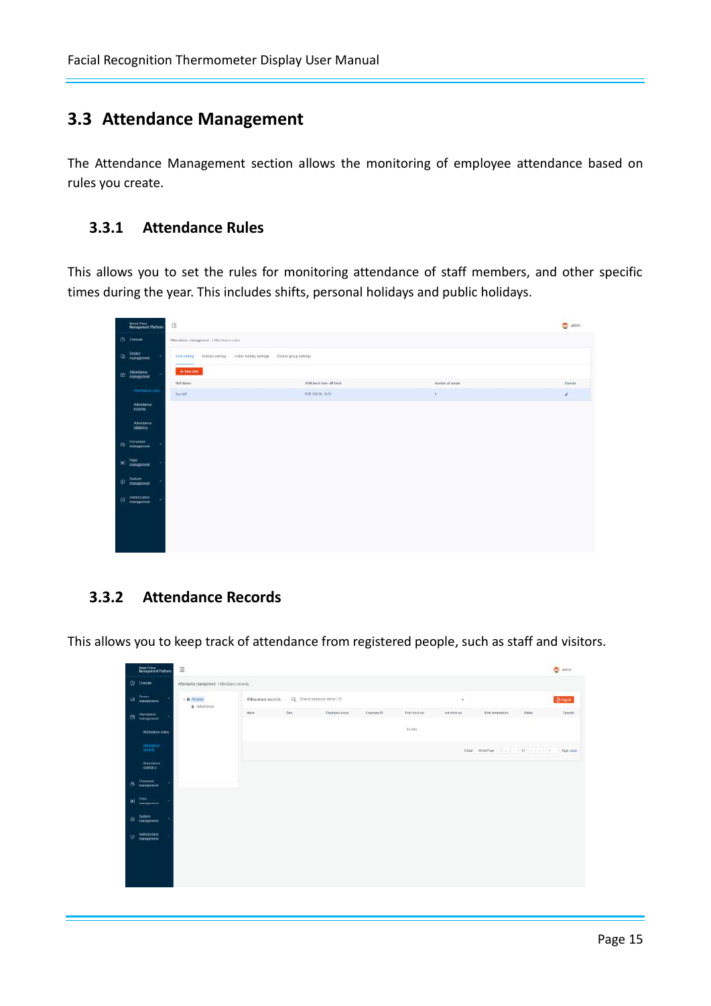## **3.3 Attendance Management**

The Attendance Management section allows the monitoring of employee attendance based on rules you create.

#### **3.3.1 Attendance Rules**

This allows you to set the rules for monitoring attendance of staff members, and other specific times during the year. This includes shifts, personal holidays and public holidays.

| <b>Based Form</b><br>Management Platform | $\overline{\epsilon}$                             |                                               |                   | <b>O</b> save |
|------------------------------------------|---------------------------------------------------|-----------------------------------------------|-------------------|---------------|
| C Conser                                 | Attentione management / Attentioner.noisy         |                                               |                   |               |
| Dovio)<br>management<br>Gb.              | Holitay terrings<br><b>Shift Setting</b><br>_____ | Public holiday settings Device group settings |                   |               |
| Altritures:<br>做<br>management           | <b>+necons</b>                                    |                                               |                   |               |
|                                          | Shift News                                        | EVILLAGE SPACE CIT Died.                      | Number of possier | Operate       |
| <b>Alternation rules</b>                 | Day sixt                                          | 250 125 26 - 10 00                            | $\mathbf{r}$      | ×             |
| Attributor<br>rocents                    |                                                   |                                               |                   |               |
| Attnebates<br>statetes                   |                                                   |                                               |                   |               |
| Personal.<br>8<br>management             |                                                   |                                               |                   |               |
| Pain<br>management<br>œ                  |                                                   |                                               |                   |               |
| tiestem<br>management<br>廊               |                                                   |                                               |                   |               |
| Authorization<br>$\Theta$<br>naragement  |                                                   |                                               |                   |               |
|                                          |                                                   |                                               |                   |               |
|                                          |                                                   |                                               |                   |               |
|                                          |                                                   |                                               |                   |               |

#### **3.3.2 Attendance Records**

This allows you to keep track of attendance from registered people, such as staff and visitors.

|    | Smart Floor<br>Management Photonia  | 這                                           |                    |       |                               |              |            |              |                                                    |               | ۰<br>atro       |
|----|-------------------------------------|---------------------------------------------|--------------------|-------|-------------------------------|--------------|------------|--------------|----------------------------------------------------|---------------|-----------------|
|    | @ Concor                            | Attendance management / Attendance records. |                    |       |                               |              |            |              |                                                    |               |                 |
| 国  | Deste<br>europenent                 | $ R$ /H cost<br>to Catasterian              | Attendance records |       | Q : Search employee name   CI |              |            | ¥.           |                                                    |               | <b>Empot</b>    |
| 自  | Изование<br>панартин                | 15 SHAFT                                    | Name:              | Date: | <b>Circhere group</b>         | Emptryee (D) | Fintdeston | neticlism in | <b>Body temperature</b>                            | <b>Tistas</b> | <b>Ciperate</b> |
|    | <b>Almitecouses</b>                 |                                             |                    |       |                               |              | room.      |              |                                                    |               |                 |
|    | <b>Alteration</b><br><b>Hampton</b> |                                             |                    |       |                               |              |            |              | Stat: 1014/Fax -   -   -   11 -   -   11   Fax Are |               |                 |
|    | Alendario<br>sisten.                |                                             |                    |       |                               |              |            |              |                                                    |               |                 |
| 8  | Percental<br><b>RETIGENER</b>       |                                             |                    |       |                               |              |            |              |                                                    |               |                 |
| 闽  | <b>Past</b><br>панденей             |                                             |                    |       |                               |              |            |              |                                                    |               |                 |
| 13 | System.<br>management               |                                             |                    |       |                               |              |            |              |                                                    |               |                 |
| ø  | <b>AUTOMAKER</b><br>mangement       |                                             |                    |       |                               |              |            |              |                                                    |               |                 |
|    |                                     |                                             |                    |       |                               |              |            |              |                                                    |               |                 |
|    |                                     |                                             |                    |       |                               |              |            |              |                                                    |               |                 |
|    |                                     |                                             |                    |       |                               |              |            |              |                                                    |               |                 |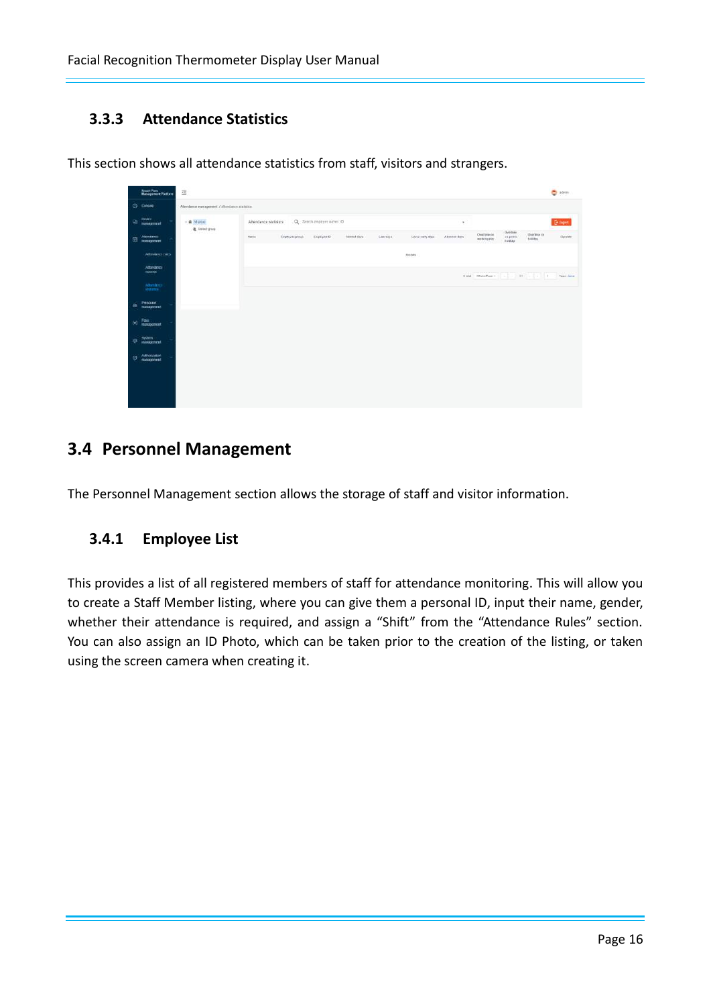#### **3.3.3 Attendance Statistics**

This section shows all attendance statistics from staff, visitors and strangers.

|                     | Smart Piens<br>Monogeneer Plethone | 蓝                                               |                   |                 |                               |                    |          |                 |              |                                |                                           |                                   | <b>C</b> unn  |
|---------------------|------------------------------------|-------------------------------------------------|-------------------|-----------------|-------------------------------|--------------------|----------|-----------------|--------------|--------------------------------|-------------------------------------------|-----------------------------------|---------------|
| C) Conseil          |                                    | Alterdamor management / Alterdamor, stabilitis: |                   |                 |                               |                    |          |                 |              |                                |                                           |                                   |               |
| EXHICIT<br>$\omega$ | memorant                           | < @ Wante<br><b>提</b> Detail group              | Ahimlence strings |                 | Q : Seach employee option / O |                    |          |                 | $\alpha$ .   |                                |                                           |                                   | <b>E</b> mpot |
| 曲                   | Atendation<br>Instrument           |                                                 | Nate              | Einphopen group | <b><i>Engineer</i></b>        | <b>Normal days</b> | Lab dass | Leave wang days | Absorce dark | Cheritanni per<br>merking stay | <b>Derfax</b><br>oxestic<br><b>Ventar</b> | The section of<br><b>building</b> | Opvisto       |
|                     | <b>Altra Fance rules</b>           |                                                 |                   |                 |                               |                    |          | Me data         |              |                                |                                           |                                   |               |
|                     | Attridance<br>mounts'              |                                                 |                   |                 |                               |                    |          |                 |              |                                |                                           |                                   |               |
|                     | Abrilece<br>statems.               |                                                 |                   |                 |                               |                    |          |                 |              |                                |                                           |                                   |               |
| s                   | <b>FREEZERS</b><br>защитете        |                                                 |                   |                 |                               |                    |          |                 |              |                                |                                           |                                   |               |
| $\left( n\right)$   | Fizes<br>management                |                                                 |                   |                 |                               |                    |          |                 |              |                                |                                           |                                   |               |
| <b>System</b><br>S. | <b>RANKASTRON</b>                  |                                                 |                   |                 |                               |                    |          |                 |              |                                |                                           |                                   |               |
| ø                   | Autonation<br>management           |                                                 |                   |                 |                               |                    |          |                 |              |                                |                                           |                                   |               |
|                     |                                    |                                                 |                   |                 |                               |                    |          |                 |              |                                |                                           |                                   |               |
|                     |                                    |                                                 |                   |                 |                               |                    |          |                 |              |                                |                                           |                                   |               |
|                     |                                    |                                                 |                   |                 |                               |                    |          |                 |              |                                |                                           |                                   |               |

### **3.4 Personnel Management**

The Personnel Management section allows the storage of staff and visitor information.

#### **3.4.1 Employee List**

This provides a list of all registered members of staff for attendance monitoring. This will allow you to create a Staff Member listing, where you can give them a personal ID, input their name, gender, whether their attendance is required, and assign a "Shift" from the "Attendance Rules" section. You can also assign an ID Photo, which can be taken prior to the creation of the listing, or taken using the screen camera when creating it.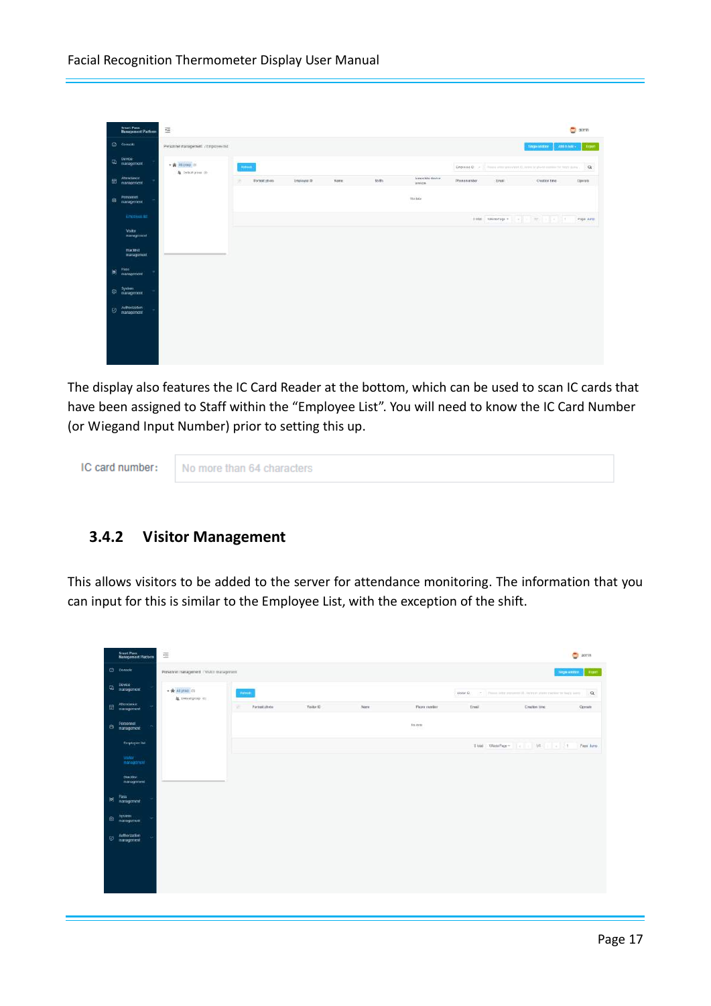|            | <b>Smart Pass</b><br>Management Platform | 彊                                       |                   |              |             |       |                           |               |         |                                                                                                                                                                                                                                                                                                                                                                                                                                                     | <b>D</b> strin |
|------------|------------------------------------------|-----------------------------------------|-------------------|--------------|-------------|-------|---------------------------|---------------|---------|-----------------------------------------------------------------------------------------------------------------------------------------------------------------------------------------------------------------------------------------------------------------------------------------------------------------------------------------------------------------------------------------------------------------------------------------------------|----------------|
|            | e diale                                  | Personnel management / http://www.tlst. |                   |              |             |       |                           |               |         | <b>Simps addition</b><br>astrone-                                                                                                                                                                                                                                                                                                                                                                                                                   | <b>Ergent</b>  |
| ø          | Device<br>management.                    | - W Milaneau (b)<br>& Debut poss de     | <b>Lution</b>     |              |             |       |                           |               |         | EROSSEND . <   Procession were accepted to the transfer than the same                                                                                                                                                                                                                                                                                                                                                                               | $\alpha$       |
| 自          | Attendance:<br>management                |                                         | ×<br>Format phone | Employee (D) | <b>NATE</b> | sams. | Amounte device<br>presses | Phone avandor | - Email | Creation time                                                                                                                                                                                                                                                                                                                                                                                                                                       | Daarato:       |
| $\epsilon$ | Personnet<br>management                  |                                         |                   |              |             |       | <b>Rio data</b>           |               |         |                                                                                                                                                                                                                                                                                                                                                                                                                                                     |                |
|            | Endoyunter                               |                                         |                   |              |             |       |                           |               | 1574    | $\texttt{RWW} = \texttt{RWowFapp} + \begin{bmatrix} \texttt{RW} & \texttt{RW} \\ \texttt{RW} & \texttt{RW} \end{bmatrix} + \begin{bmatrix} \texttt{RW} & \texttt{RW} \\ \texttt{RW} & \texttt{RW} \end{bmatrix} + \begin{bmatrix} \texttt{RW} & \texttt{RW} \\ \texttt{RW} & \texttt{RW} \end{bmatrix} + \begin{bmatrix} \texttt{RW} & \texttt{RW} \\ \texttt{RW} & \texttt{RW} \end{bmatrix} + \begin{bmatrix} \texttt{RW} & \texttt{RW} \\ \text$ | Page Arts      |
|            | <b>Visital</b><br>management             |                                         |                   |              |             |       |                           |               |         |                                                                                                                                                                                                                                                                                                                                                                                                                                                     |                |
|            | пасна<br>management.                     |                                         |                   |              |             |       |                           |               |         |                                                                                                                                                                                                                                                                                                                                                                                                                                                     |                |
| 闽          | Pass<br>management.                      |                                         |                   |              |             |       |                           |               |         |                                                                                                                                                                                                                                                                                                                                                                                                                                                     |                |
| $\bullet$  | System<br>management                     |                                         |                   |              |             |       |                           |               |         |                                                                                                                                                                                                                                                                                                                                                                                                                                                     |                |
| $\Theta$   | Authorization<br>managimont              |                                         |                   |              |             |       |                           |               |         |                                                                                                                                                                                                                                                                                                                                                                                                                                                     |                |
|            |                                          |                                         |                   |              |             |       |                           |               |         |                                                                                                                                                                                                                                                                                                                                                                                                                                                     |                |
|            |                                          |                                         |                   |              |             |       |                           |               |         |                                                                                                                                                                                                                                                                                                                                                                                                                                                     |                |
|            |                                          |                                         |                   |              |             |       |                           |               |         |                                                                                                                                                                                                                                                                                                                                                                                                                                                     |                |

The display also features the IC Card Reader at the bottom, which can be used to scan IC cards that have been assigned to Staff within the "Employee List". You will need to know the IC Card Number (or Wiegand Input Number) prior to setting this up.

IC card number:

No more than 64 characters

### **3.4.2 Visitor Management**

This allows visitors to be added to the server for attendance monitoring. The information that you can input for this is similar to the Employee List, with the exception of the shift.

| Smert Pass<br>Management Platform             | $\overline{1\pm}$                          |               |           |       |              |       |                                                                             | <b>O</b> ascus                |
|-----------------------------------------------|--------------------------------------------|---------------|-----------|-------|--------------|-------|-----------------------------------------------------------------------------|-------------------------------|
| C Controle                                    | Personnel management. / Misica management. |               |           |       |              |       |                                                                             | <b>Asset</b><br>Sites and it. |
| DOWN.<br>啞<br>management                      | - ★ 48 gram 201<br>址 Delaid ploto (ft)     | <b>Report</b> |           |       |              |       | Votar 12: 2.4   Plazz: Inter present III, hence your explorate to buy large | $\alpha$                      |
| <b>Atlendance</b><br>日<br>management          |                                            | Partnat abota | Volke (C) | Nore: | Thurs moder  | fmail | Creation lime                                                               | <b>Corrate</b>                |
| <b>Demonut</b><br>8<br>management             |                                            |               |           |       | <b>Rotam</b> |       |                                                                             |                               |
| Employee Inc.                                 |                                            |               |           |       |              |       | Stole (Waterham   c   Vt-    c   1   Papi June                              |                               |
| Valor:<br><b>Management</b>                   |                                            |               |           |       |              |       |                                                                             |                               |
| <b>Blackbut</b><br><i>пасадники)</i>          |                                            |               |           |       |              |       |                                                                             |                               |
| Pass<br>$\omega$<br>management                |                                            |               |           |       |              |       |                                                                             |                               |
|                                               |                                            |               |           |       |              |       |                                                                             |                               |
| System<br>management                          |                                            |               |           |       |              |       |                                                                             |                               |
| ଛ<br><b>Authorization</b><br>ø<br>management. |                                            |               |           |       |              |       |                                                                             |                               |
|                                               |                                            |               |           |       |              |       |                                                                             |                               |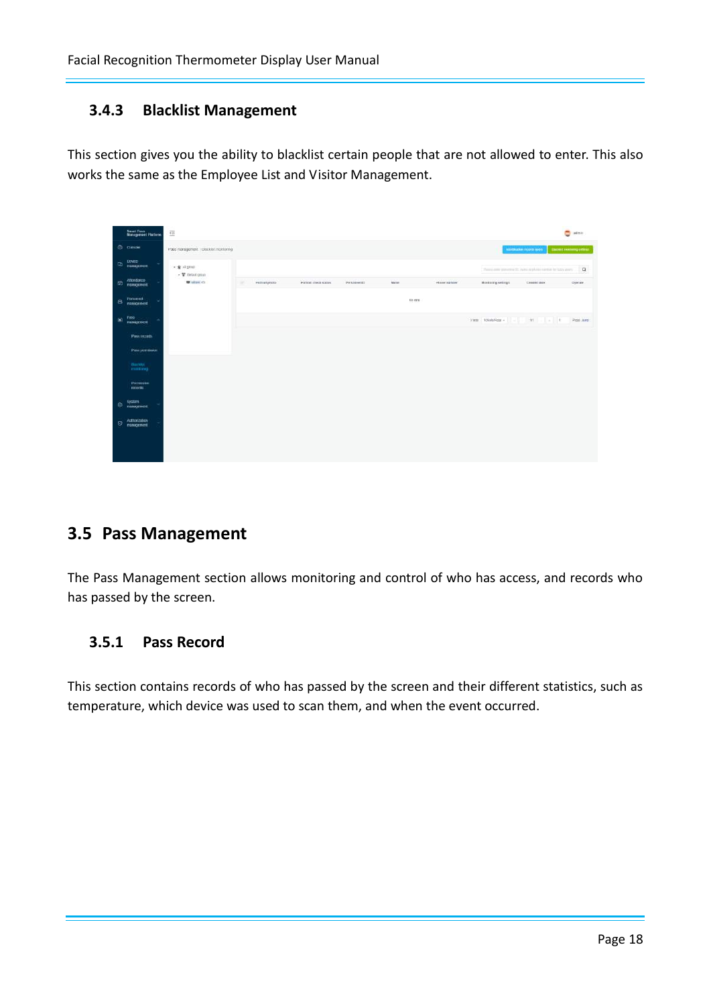#### **3.4.3 Blacklist Management**

This section gives you the ability to blacklist certain people that are not allowed to enter. This also works the same as the Employee List and Visitor Management.

|                          | Smart Pass<br>Monagement Photons | 运                                     |                    |                    |              |                 |                     |                    |                                                       | $\bullet$ aton             |
|--------------------------|----------------------------------|---------------------------------------|--------------------|--------------------|--------------|-----------------|---------------------|--------------------|-------------------------------------------------------|----------------------------|
|                          | <b>C</b> Curson                  | Page management / Eleckist monitoring |                    |                    |              |                 |                     |                    | laboration records averal.                            | <b>Doom! exchangesting</b> |
| c,                       | Device<br><b>management</b>      | - & Alpino<br>- W newcone             |                    |                    |              |                 |                     |                    | there are prevent it, now replace notes to taxy pure. | $\alpha$                   |
| 曲                        | Atkndance<br>rensomen            | <b>Minimum (C)</b>                    | ×<br>Pertraitpress | Format much ideias | Personneltti | Miran           | <b>Plane Nation</b> | Mastering settings | -Constert date                                        | Operate:                   |
| $\ddot{\mathbf{a}}$      | Porumed<br>management            |                                       |                    |                    |              | <b>Bio date</b> |                     |                    |                                                       |                            |
| $\left( \bullet \right)$ | Pass<br>ranacement               |                                       |                    |                    |              |                 |                     |                    |                                                       | Page June                  |
|                          | Pass records.                    |                                       |                    |                    |              |                 |                     |                    |                                                       |                            |
|                          | Past permission                  |                                       |                    |                    |              |                 |                     |                    |                                                       |                            |
|                          | <b>BUONE</b><br>mining           |                                       |                    |                    |              |                 |                     |                    |                                                       |                            |
|                          | Pornester<br>electricia          |                                       |                    |                    |              |                 |                     |                    |                                                       |                            |
| ø                        | <b>System</b><br>management      |                                       |                    |                    |              |                 |                     |                    |                                                       |                            |
| $\circ$                  | Autonzation<br>паварелет         |                                       |                    |                    |              |                 |                     |                    |                                                       |                            |
|                          |                                  |                                       |                    |                    |              |                 |                     |                    |                                                       |                            |
|                          |                                  |                                       |                    |                    |              |                 |                     |                    |                                                       |                            |

# **3.5 Pass Management**

The Pass Management section allows monitoring and control of who has access, and records who has passed by the screen.

#### **3.5.1 Pass Record**

This section contains records of who has passed by the screen and their different statistics, such as temperature, which device was used to scan them, and when the event occurred.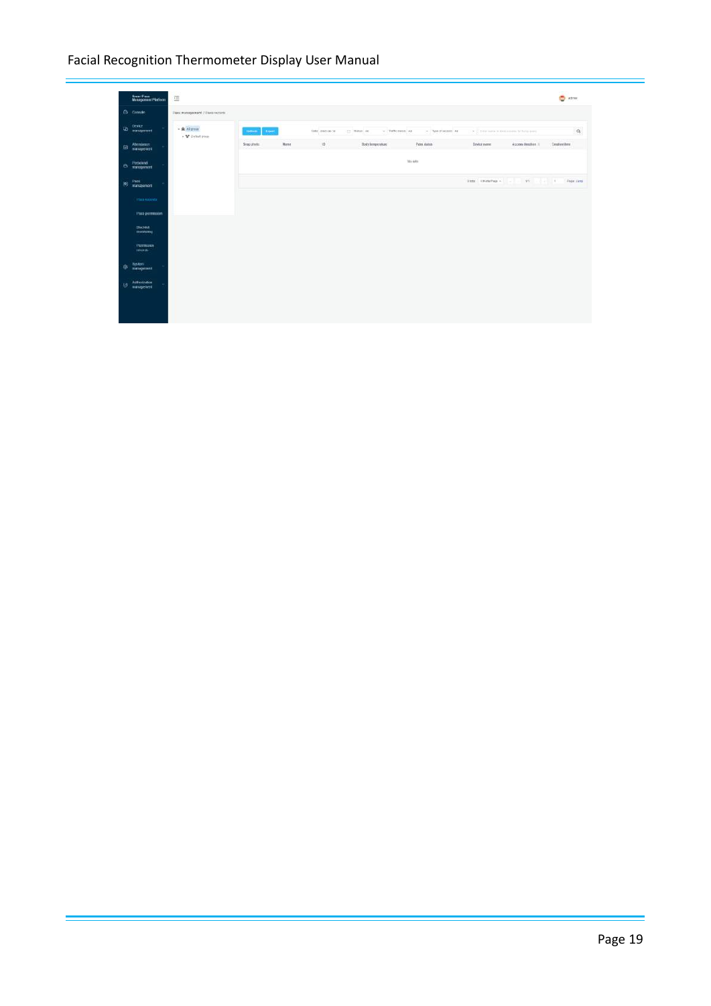

| Seart Faxs<br>Management Flatform                   | 亞                                |                        |             |                |                                     |                |             |                                                          | $0$ star       |
|-----------------------------------------------------|----------------------------------|------------------------|-------------|----------------|-------------------------------------|----------------|-------------|----------------------------------------------------------|----------------|
| <b>B</b> Tomde                                      | Paco masopement / Para records   |                        |             |                |                                     |                |             |                                                          |                |
| Deste<br>$\overline{\omega}$<br>management          | - $A$ Alussa<br>. V Delait prox. | <b>Listen</b><br>ment. |             | 081.35258539   | 12.3446, 40.<br>$=$ . THREE BILG AB |                |             | $\rightarrow$ . ( Edit note is described to future part) | $\alpha$       |
| <b>Abendance</b><br>园<br>management                 |                                  | Snop photo:            | <b>Hant</b> | $\mathfrak{w}$ | Body lengtunas                      | Finan atens    | Davice name | Access directors .:                                      | Canadian Breat |
| Personnel<br><b>B</b> <i>naugmen</i>                |                                  |                        |             |                |                                     | <b>No data</b> |             |                                                          |                |
| Fast<br>Inanagement<br>$\langle \mathbf{e} \rangle$ |                                  |                        |             |                |                                     |                |             |                                                          |                |
| <b>Ford Houses</b>                                  |                                  |                        |             |                |                                     |                |             |                                                          |                |
| First permission.                                   |                                  |                        |             |                |                                     |                |             |                                                          |                |
| Backet.<br><i>montains</i>                          |                                  |                        |             |                |                                     |                |             |                                                          |                |
| ганизми.<br>records.                                |                                  |                        |             |                |                                     |                |             |                                                          |                |
| <b>Byston:</b><br>management<br>诲                   |                                  |                        |             |                |                                     |                |             |                                                          |                |
| Automotion<br>$\circledcirc$<br>management          |                                  |                        |             |                |                                     |                |             |                                                          |                |
|                                                     |                                  |                        |             |                |                                     |                |             |                                                          |                |
|                                                     |                                  |                        |             |                |                                     |                |             |                                                          |                |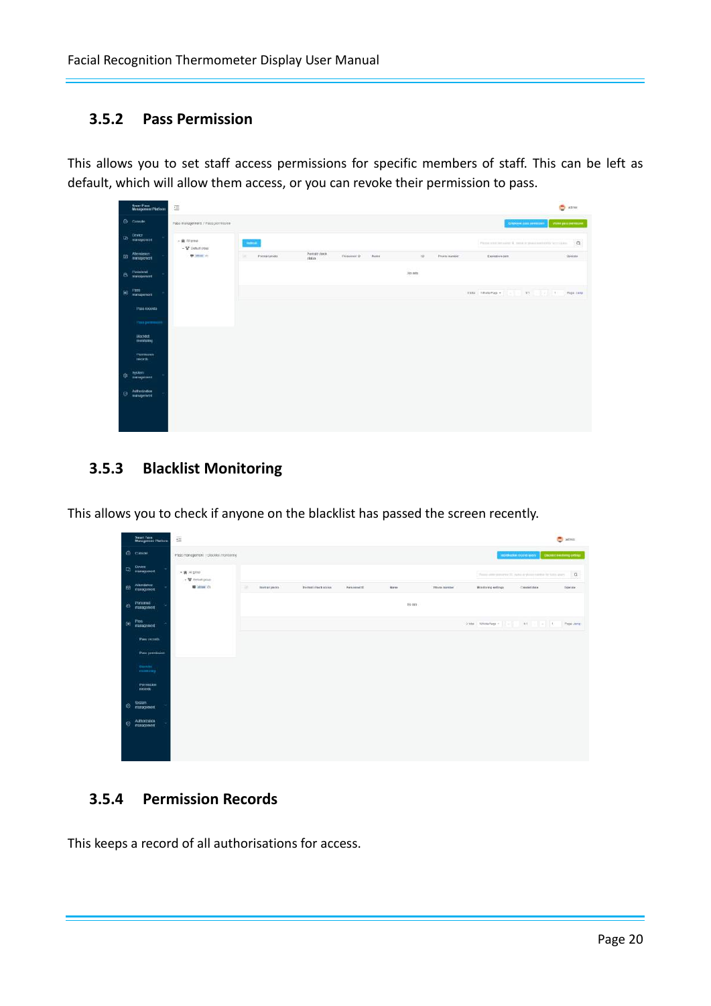#### **3.5.2 Pass Permission**

This allows you to set staff access permissions for specific members of staff. This can be left as default, which will allow them access, or you can revoke their permission to pass.

|                              | Smart Pass<br>Management Photo in        | 這                                       |                          |                      |              |      |                    |              |                                                           | ۰<br><b>ASSE</b>      |
|------------------------------|------------------------------------------|-----------------------------------------|--------------------------|----------------------|--------------|------|--------------------|--------------|-----------------------------------------------------------|-----------------------|
|                              | <b>O</b> Domain                          | Pass management / Pass portionent       |                          |                      |              |      |                    |              | Cramere casa permisso                                     | <b>CONFIDENTIAL</b>   |
| $\overline{\omega}$          | Deste<br>памилистет                      | $ \otimes$ /il one<br>$ V$ Detail group | <b>STEER</b>             |                      |              |      |                    |              | Phone also introduce \$1 month plans and or by farmilian. | i al                  |
| 固                            | Abericans                                | <b>WE USE AND PRO</b>                   | Portest prices<br>$\sim$ | Pomerciaca<br>sizian | Fersonni III | have | $10^{-}$           | Phane sumber | Expentive case                                            | <b>Uperate</b>        |
|                              | Fotboard<br><b>B</b> naugment            |                                         |                          |                      |              |      | 2507.00<br>Ha sale |              |                                                           |                       |
| $\langle \mathbf{e} \rangle$ | Pass<br><b><i>Institutement</i></b>      |                                         |                          |                      |              |      |                    |              |                                                           | Since the Citiga care |
|                              | <b>Flash Hoceves</b>                     |                                         |                          |                      |              |      |                    |              |                                                           |                       |
|                              | <b>Hasperment</b>                        |                                         |                          |                      |              |      |                    |              |                                                           |                       |
|                              | Bastet.<br><b><i><u>montunns</u></i></b> |                                         |                          |                      |              |      |                    |              |                                                           |                       |
|                              | ганизми.<br>records.                     |                                         |                          |                      |              |      |                    |              |                                                           |                       |
| 诲                            | System<br>management                     |                                         |                          |                      |              |      |                    |              |                                                           |                       |
| $\Theta$                     | Automation<br>mangement                  |                                         |                          |                      |              |      |                    |              |                                                           |                       |
|                              |                                          |                                         |                          |                      |              |      |                    |              |                                                           |                       |
|                              |                                          |                                         |                          |                      |              |      |                    |              |                                                           |                       |

### **3.5.3 Blacklist Monitoring**

This allows you to check if anyone on the blacklist has passed the screen recently.

|                    | Swart Paus<br>Monogeneer Photone | 福                                       |                 |                        |             |          |                  |                     |                                                             | $\bullet$ and |
|--------------------|----------------------------------|-----------------------------------------|-----------------|------------------------|-------------|----------|------------------|---------------------|-------------------------------------------------------------|---------------|
|                    | <b>C</b> cincer                  | Pass management   Disclust manitoring   |                 |                        |             |          |                  |                     | <b>ROSCOM NOVO BOY DOOR FARMING (RIVER)</b>                 |               |
| ¢                  | Device<br>management.            | · & Algino<br>$+$ $\mathbf{V}$ houtons: |                 |                        |             |          |                  |                     | floors and purcers 21. Auto is plans to the for latin were. | $\alpha$      |
| 曲                  | Attendance<br>renxement          | <b>Millen O</b>                         | ×<br>Primarunoo | Patrioti trace ideias. | Pelkinsetti | Miran    | <b>PERGHAMMY</b> | Holbing settigi     | Constant chain                                              | Opens.        |
| $\alpha$           | Perumud<br>management            |                                         |                 |                        |             | 100 0018 |                  |                     |                                                             |               |
| $\left( 0 \right)$ | Pass<br>management               |                                         |                 |                        |             |          |                  | O'uta: 40%sh/Pops + | 2011 12 13 14                                               | Page Airp     |
|                    | Pass records.                    |                                         |                 |                        |             |          |                  |                     |                                                             |               |
|                    | Past permission                  |                                         |                 |                        |             |          |                  |                     |                                                             |               |
|                    | Вилос.<br><b>Immuned</b>         |                                         |                 |                        |             |          |                  |                     |                                                             |               |
|                    | POTHERS<br><b>FREEDS</b>         |                                         |                 |                        |             |          |                  |                     |                                                             |               |
| ø                  | System<br>management             |                                         |                 |                        |             |          |                  |                     |                                                             |               |
| ø                  | Authorization<br>management      |                                         |                 |                        |             |          |                  |                     |                                                             |               |
|                    |                                  |                                         |                 |                        |             |          |                  |                     |                                                             |               |
|                    |                                  |                                         |                 |                        |             |          |                  |                     |                                                             |               |

#### **3.5.4 Permission Records**

This keeps a record of all authorisations for access.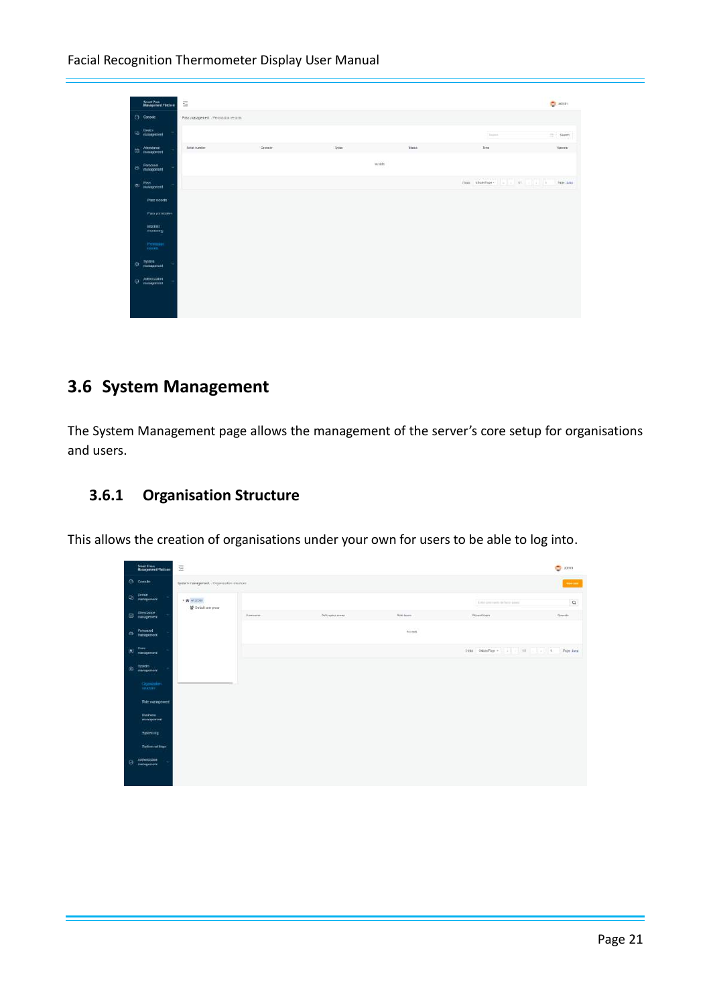|           | <b>Start Post</b><br>Hungarieri Philippi | 荘                                    |                |        |                   |                                           | $\bullet$ admits         |
|-----------|------------------------------------------|--------------------------------------|----------------|--------|-------------------|-------------------------------------------|--------------------------|
|           | <b>@</b> Console                         | Pass management (Pennission records) |                |        |                   |                                           |                          |
|           | <b>Center</b><br>Co management           |                                      |                |        |                   | Thursday                                  | $\pm$ 58919<br>$-2.2211$ |
| 曲         | Attedance<br>management                  | <b>Benet number</b>                  | <b>Counter</b> | lypes: | <b>Baran</b>      | live                                      | <b>Course</b>            |
| $\approx$ | <b>Personnel</b><br>massignent           |                                      |                |        | $i$ and the basis |                                           |                          |
| [6]       | <b>Place</b><br>Instrugenced             |                                      |                |        |                   | the statement of the control of the state |                          |
|           | Frans records                            |                                      |                |        |                   |                                           |                          |
|           |                                          |                                      |                |        |                   |                                           |                          |
|           | Pas processes                            |                                      |                |        |                   |                                           |                          |
|           | <b>Backet</b><br>excess                  |                                      |                |        |                   |                                           |                          |
|           | Personal<br><b>FOOTH</b>                 |                                      |                |        |                   |                                           |                          |
| $\circ$   | nyam<br>masazonat                        |                                      |                |        |                   |                                           |                          |

## **3.6 System Management**

The System Management page allows the management of the server's core setup for organisations and users.

#### **3.6.1 Organisation Structure**

This allows the creation of organisations under your own for users to be able to log into.

| Sisert Pass<br>Management Platform                 | 這                                    |         |              |              |                                                     | $\bullet$ some |
|----------------------------------------------------|--------------------------------------|---------|--------------|--------------|-----------------------------------------------------|----------------|
| <b>Ch</b> Consule                                  | Systematique et / Organistic stucker |         |              |              |                                                     | $-$            |
| Uesce<br>management<br>Q)                          | · W Atposs<br>M Drinfton year        |         |              |              | Eath contrasts at how knee                          | $\mathbf{Q}$   |
| $\Box$ Intercepted                                 |                                      | Ummerie | Okleans aves | Reki falara  | <b>Brownloads</b>                                   | Omit           |
| Removed<br>management<br>8                         |                                      |         |              | <b>NAMES</b> |                                                     |                |
| <b>Pats</b><br>$\left  0 \right\rangle$<br>пациент |                                      |         |              |              | Disk considers and all the contract of the Page And |                |
| inplices<br>reasoncented<br>ø                      |                                      |         |              |              |                                                     |                |
| Cigarization.<br>Historia                          |                                      |         |              |              |                                                     |                |
| Robinanconert                                      |                                      |         |              |              |                                                     |                |
| <b>Harves</b><br>пападстот.                        |                                      |         |              |              |                                                     |                |
| <b>Bustining</b>                                   |                                      |         |              |              |                                                     |                |
| <b>Belon witnes</b>                                |                                      |         |              |              |                                                     |                |
| Authorization<br>numigeneous<br>ø                  |                                      |         |              |              |                                                     |                |
|                                                    |                                      |         |              |              |                                                     |                |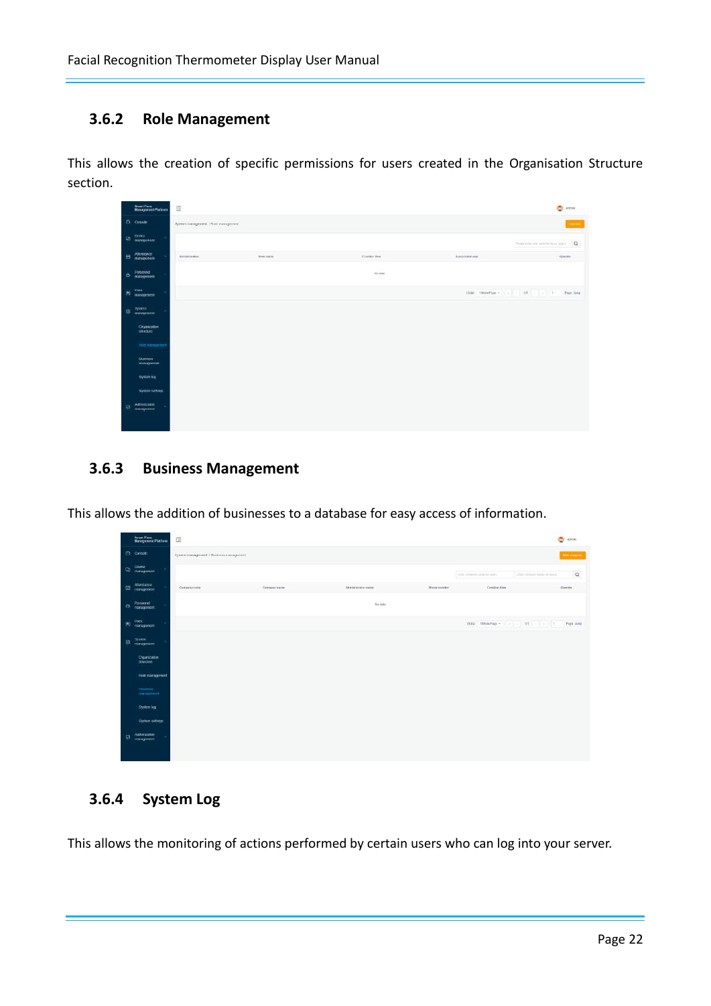#### **3.6.2 Role Management**

This allows the creation of specific permissions for users created in the Organisation Structure section.

|    | Smart Pass<br>Miniagement Platform   | 益                                   |             |                            |                                                                                                                                                                                                                                                                                                                                                                                                                                                                                                                                              | $\bullet$ atom.                          |
|----|--------------------------------------|-------------------------------------|-------------|----------------------------|----------------------------------------------------------------------------------------------------------------------------------------------------------------------------------------------------------------------------------------------------------------------------------------------------------------------------------------------------------------------------------------------------------------------------------------------------------------------------------------------------------------------------------------------|------------------------------------------|
|    | <b>CS</b> : Console                  | System management / Rule management |             |                            |                                                                                                                                                                                                                                                                                                                                                                                                                                                                                                                                              | <b>Secret</b>                            |
| w  | Down.<br>management                  |                                     |             |                            |                                                                                                                                                                                                                                                                                                                                                                                                                                                                                                                                              | Pleasante niv sendo har gant<br>$\alpha$ |
| 筒  | Attendance<br>management             | NUMBER                              | Hote rapids | Creation line              | Associated assis                                                                                                                                                                                                                                                                                                                                                                                                                                                                                                                             | <b>CENTER</b>                            |
| B. | <b>Personnel</b><br>Humigement       |                                     |             | Steat<br>No date<br>1973.C |                                                                                                                                                                                                                                                                                                                                                                                                                                                                                                                                              |                                          |
| 做  | <b>Pass</b><br>management            |                                     |             |                            | $\text{MSE}:\text{WonePart}(\mathcal{C})\rightarrow \left\ \left\ \mathcal{C}\right\ \right\ \left\ \mathcal{C}\right\ \right\ \left\ \mathcal{C}\right\ \left\ \mathcal{C}\right\ \left\ \mathcal{C}\right\ \left\ \mathcal{C}\right\ \left\ \mathcal{C}\right\ \left\ \mathcal{C}\right\ \left\ \mathcal{C}\right\ \left\ \mathcal{C}\right\ \left\ \mathcal{C}\right\ \left\ \mathcal{C}\right\ \left\ \mathcal{C}\right\ \left\ \mathcal{C}\right\ \left\ \mathcal{C}\right\ \left\ \mathcal{C}\right\ \left\ \mathcal{C}\right\ \left\$ | . Free Area                              |
| 事  | System<br>management                 |                                     |             |                            |                                                                                                                                                                                                                                                                                                                                                                                                                                                                                                                                              |                                          |
|    | Отавнойни.<br>structure <sup>1</sup> |                                     |             |                            |                                                                                                                                                                                                                                                                                                                                                                                                                                                                                                                                              |                                          |
|    | <b>FLUIS MATERIALISM</b>             |                                     |             |                            |                                                                                                                                                                                                                                                                                                                                                                                                                                                                                                                                              |                                          |
|    | <b>Business</b><br>наказанки.        |                                     |             |                            |                                                                                                                                                                                                                                                                                                                                                                                                                                                                                                                                              |                                          |
|    | <b>Bystom</b> kop                    |                                     |             |                            |                                                                                                                                                                                                                                                                                                                                                                                                                                                                                                                                              |                                          |
|    | System serings                       |                                     |             |                            |                                                                                                                                                                                                                                                                                                                                                                                                                                                                                                                                              |                                          |
| ø  | AEGUSE                               |                                     |             |                            |                                                                                                                                                                                                                                                                                                                                                                                                                                                                                                                                              |                                          |
|    |                                      |                                     |             |                            |                                                                                                                                                                                                                                                                                                                                                                                                                                                                                                                                              |                                          |

#### **3.6.3 Business Management**

This allows the addition of businesses to a database for easy access of information.

|                     | Smart Pane<br>Management Platform                                                           | 這                                        |                |                                      |                |                                                                                                                                                                                                                                                                                                                                                                                                                                                                                                                                                        |                            | <b>O</b> eine      |
|---------------------|---------------------------------------------------------------------------------------------|------------------------------------------|----------------|--------------------------------------|----------------|--------------------------------------------------------------------------------------------------------------------------------------------------------------------------------------------------------------------------------------------------------------------------------------------------------------------------------------------------------------------------------------------------------------------------------------------------------------------------------------------------------------------------------------------------------|----------------------------|--------------------|
|                     | <sup>(3)</sup> Curock                                                                       | System management / Buickerea management |                |                                      |                |                                                                                                                                                                                                                                                                                                                                                                                                                                                                                                                                                        |                            | <b>Her cargons</b> |
| $\mathbbm{C}$       | Device<br>minimum                                                                           |                                          |                |                                      |                | 229x (2000) 2000 for sports                                                                                                                                                                                                                                                                                                                                                                                                                                                                                                                            | Little presin note to see. | $\alpha$           |
| $\omega$            | Abertance<br>пециализ                                                                       | Corposysode                              | Company nearer | Atsidance mess                       | : Photomatikel | Constitute Street                                                                                                                                                                                                                                                                                                                                                                                                                                                                                                                                      |                            | Operate            |
| $\mathbf{B}$        | Personnel<br>management.                                                                    |                                          |                | <b>District</b><br>Neitete<br>55,000 |                |                                                                                                                                                                                                                                                                                                                                                                                                                                                                                                                                                        |                            |                    |
| $\langle n \rangle$ | Pass<br>management                                                                          |                                          |                |                                      |                | $\text{min} \quad \text{mass} \quad \left\{ \begin{array}{ll} \text{min} & \text{min} \quad \text{min} \quad \text{min} \quad \text{min} \quad \text{min} \quad \text{min} \quad \text{min} \quad \text{min} \quad \text{min} \quad \text{min} \quad \text{min} \quad \text{min} \quad \text{min} \quad \text{min} \quad \text{min} \quad \text{min} \quad \text{min} \quad \text{min} \quad \text{min} \quad \text{min} \quad \text{min} \quad \text{min} \quad \text{min} \quad \text{min} \quad \text{min} \quad \text{min} \quad \text{min} \quad$ |                            | PA\$4, Jums        |
| 由                   | System<br>management                                                                        |                                          |                |                                      |                |                                                                                                                                                                                                                                                                                                                                                                                                                                                                                                                                                        |                            |                    |
|                     | <b>Departation</b><br>mone                                                                  |                                          |                |                                      |                |                                                                                                                                                                                                                                                                                                                                                                                                                                                                                                                                                        |                            |                    |
|                     | <b>Robi mimagement</b>                                                                      |                                          |                |                                      |                |                                                                                                                                                                                                                                                                                                                                                                                                                                                                                                                                                        |                            |                    |
|                     | $\begin{tabular}{ c c } \hline non-odd & \\ \hline linear points & \\ \hline \end{tabular}$ |                                          |                |                                      |                |                                                                                                                                                                                                                                                                                                                                                                                                                                                                                                                                                        |                            |                    |
|                     | <b>Dystres log</b>                                                                          |                                          |                |                                      |                |                                                                                                                                                                                                                                                                                                                                                                                                                                                                                                                                                        |                            |                    |
|                     | Eystem.settings                                                                             |                                          |                |                                      |                |                                                                                                                                                                                                                                                                                                                                                                                                                                                                                                                                                        |                            |                    |
| ø                   | <b>Authorization</b><br>погодилега                                                          |                                          |                |                                      |                |                                                                                                                                                                                                                                                                                                                                                                                                                                                                                                                                                        |                            |                    |
|                     |                                                                                             |                                          |                |                                      |                |                                                                                                                                                                                                                                                                                                                                                                                                                                                                                                                                                        |                            |                    |

### **3.6.4 System Log**

This allows the monitoring of actions performed by certain users who can log into your server.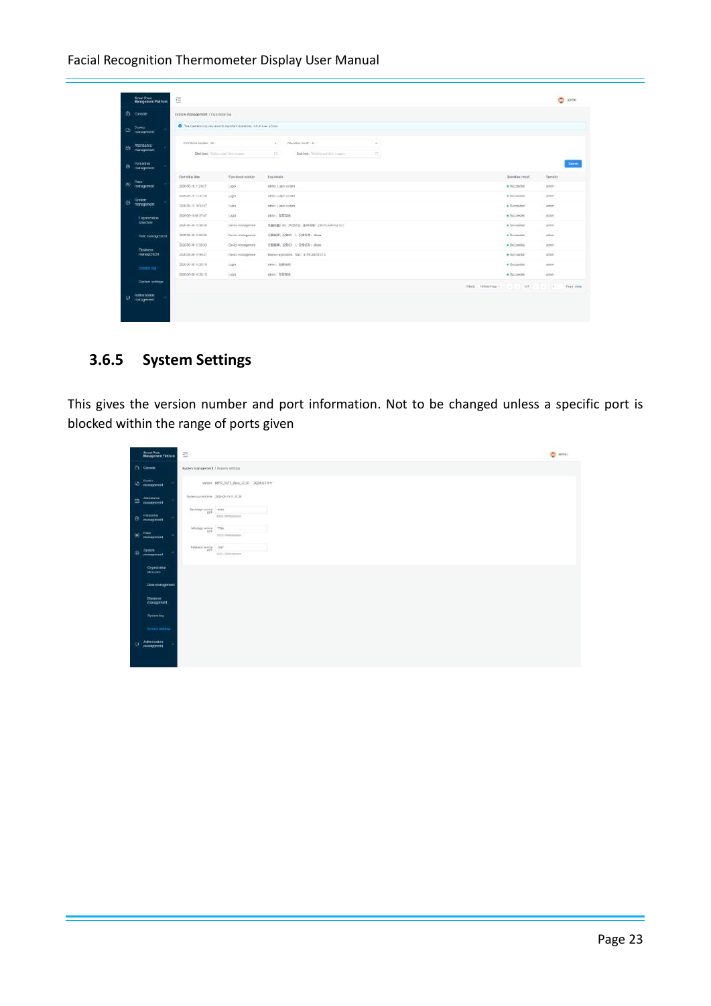|   | <b>Soviet Pass</b><br>Management Platform | 這                                  |                                                                         |                                                               |                  |                   | <b>D</b> some              |
|---|-------------------------------------------|------------------------------------|-------------------------------------------------------------------------|---------------------------------------------------------------|------------------|-------------------|----------------------------|
|   | @ cases                                   | System management / Castration log |                                                                         |                                                               |                  |                   |                            |
| ه | Dewe<br>minageracit                       |                                    | The specifics log any records important specifics, rad all low actions. |                                                               |                  |                   |                            |
| 凿 | <b>Attendance</b><br>management           | FIFETERIA mediate, Jan             | Station: Director his is sur-                                           | DOMESTIC FELIX AL<br>÷<br>15.<br>Define, Instanting to a per- | $+1$<br>$\equiv$ |                   |                            |
| e | <b>POISOGNIE</b><br>стандарствому         |                                    |                                                                         |                                                               |                  |                   | <b>Search</b>              |
|   |                                           | Corradon Ray                       | Franchisead module                                                      | 1 mg details.                                                 |                  | Direction league  | Operation                  |
| 輿 | Paten<br>monerant                         | 2020-06-18 11:24 TT                | 1000                                                                    | ARTIN, LINEY MISSING                                          |                  | · SLOVerlett      | istrum.                    |
|   | <b>Gystern</b>                            | DESCORTA VICETAR                   | 5.000                                                                   | a Breis, Lager Jectores                                       |                  | $+ 75400000001$   | cose:                      |
| ŵ | management                                | 2020-06-12 16:32:17                | Logis                                                                   | admin. Lagminstom                                             |                  | * Gaccaster       | aglain.                    |
|   | <b>Organization</b>                       | 2020-05-18 89 TF AT                | 1.0001                                                                  | anni, tricon                                                  |                  | a Succeeded:      | actua-                     |
|   | strectore                                 | 2020/08/09 19:50:26                | <b>Devola Institutionnal</b>                                            | RENE- N. HOHEL ENGINE TRIPOANSICALES                          |                  | * Harmodolf       | speed.                     |
|   | Role management                           | 2020-06-01 15:50:00                | Destra menigament                                                       | <b>GRAIN, GRID 1, GRIDT: shoes</b>                            |                  | · Guccoadest      | cone.                      |
|   |                                           | 2020-05-01 15:50:00                | Design stategament                                                      | 设装配库, 设整D. 1. 设备名称: alcore                                    |                  | · Sacceeder       | errors.                    |
|   | Doaness<br>management                     | 2020/05/09 19:50:41                | -trence management                                                      | THREE-registation, Mac. ECPCA021C2TA                          |                  | <b>B NACOGRES</b> | arrow.                     |
|   |                                           | 2020-06-09 10:20:19                | Logis                                                                   | 18111. <b>日光日内</b>                                            |                  | · Georgiet        | ages.                      |
|   | <b>Bystein mg</b>                         | 2020-00-01 10:30 15                | Logic                                                                   | aims mitten                                                   |                  | · Barmeleti       | agreat                     |
|   | <b>Eystem settings:</b>                   |                                    |                                                                         |                                                               |                  |                   | →日本 日本<br><b>THEY ZIME</b> |
|   | <b>Authorization</b><br>management        |                                    |                                                                         |                                                               |                  |                   |                            |

#### **3.6.5 System Settings**

This gives the version number and port information. Not to be changed unless a specific port is blocked within the range of ports given

|              | Spart Poes<br>Nanagoroni Platinini   | 歪                                                                                                                                                                                                                                                                                                                                                                                                    | <b>WARDTON</b><br>$\bullet$ adult |
|--------------|--------------------------------------|------------------------------------------------------------------------------------------------------------------------------------------------------------------------------------------------------------------------------------------------------------------------------------------------------------------------------------------------------------------------------------------------------|-----------------------------------|
|              | @ Genome                             | Bystem management / Bystem tellings                                                                                                                                                                                                                                                                                                                                                                  |                                   |
|              | Desta:<br><b>CO</b> management       | WINDY MPR SATE Basic (2018) 20206-02-311                                                                                                                                                                                                                                                                                                                                                             |                                   |
| 齒            | Attendance<br>management             | Ryden carretters 2010-20-19 11 32:30<br>1929년 20일 12월 20일 11월 20일 12월<br><b>CONTRACTOR</b><br><b>DOM/N</b>                                                                                                                                                                                                                                                                                           |                                   |
| $\mathbf{e}$ | Personal<br>management               | $\frac{1685}{100} = 10048 \times 1000$<br>1330-Internations                                                                                                                                                                                                                                                                                                                                          |                                   |
| $\Theta$     | <b>Planet</b>                        | $\begin{tabular}{ c c c c } \hline known and \hspace*{0.5cm} & \hspace*{0.5cm} & \hspace*{0.5cm} & \hspace*{0.5cm} & \hspace*{0.5cm} & \hspace*{0.5cm} & \hspace*{0.5cm} & \hspace*{0.5cm} & \hspace*{0.5cm} & \hspace*{0.5cm} & \hspace*{0.5cm} & \hspace*{0.5cm} & \hspace*{0.5cm} & \hspace*{0.5cm} & \hspace*{0.5cm} & \hspace*{0.5cm} & \hspace*{0.5cm} & \hspace*{0.5cm} & \$<br>TED-780040400 |                                   |
| 市            | <b>System</b><br>resumment.          | Belders levie 1107<br>port<br>____<br>EEO-SEGUIDEN                                                                                                                                                                                                                                                                                                                                                   |                                   |
|              | Organization<br>shadan.              |                                                                                                                                                                                                                                                                                                                                                                                                      |                                   |
|              | Ran management                       |                                                                                                                                                                                                                                                                                                                                                                                                      |                                   |
|              | Districts.<br>monument.              |                                                                                                                                                                                                                                                                                                                                                                                                      |                                   |
|              | System kig                           |                                                                                                                                                                                                                                                                                                                                                                                                      |                                   |
|              | <b>Distant survival</b>              |                                                                                                                                                                                                                                                                                                                                                                                                      |                                   |
| ø.           | Automation<br><b><i>RESERVED</i></b> |                                                                                                                                                                                                                                                                                                                                                                                                      |                                   |
|              |                                      |                                                                                                                                                                                                                                                                                                                                                                                                      |                                   |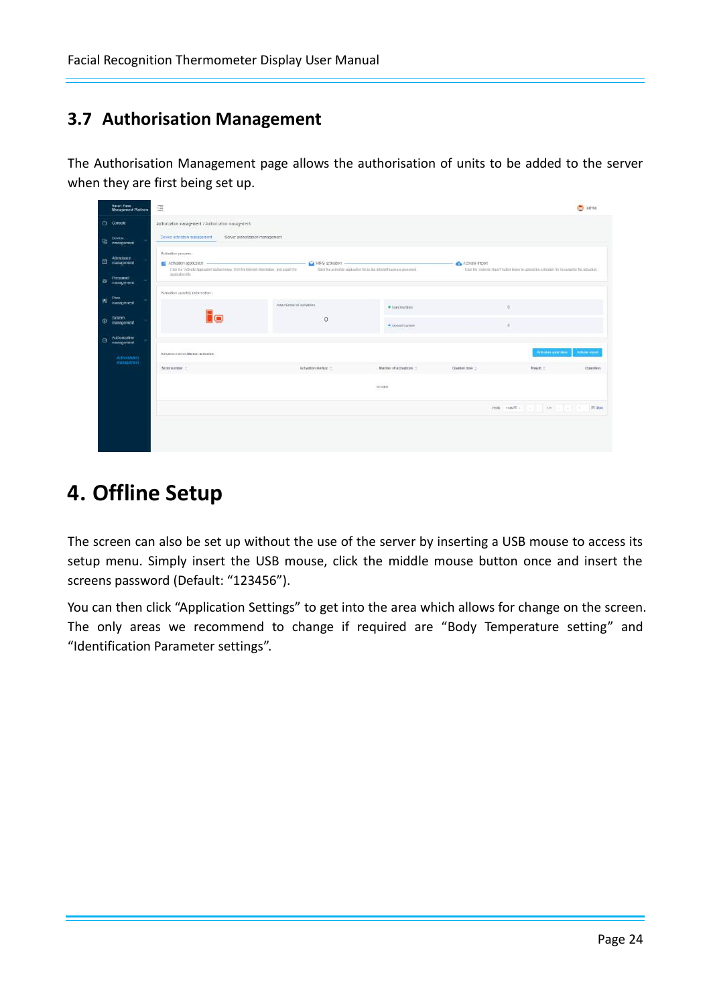## **3.7 Authorisation Management**

The Authorisation Management page allows the authorisation of units to be added to the server when they are first being set up.

|          | <b>Smart Page</b><br>Monogament Platform | 這                                                                                                                                                                 |                               |                                                                       |                  |                                                                                           | $\bullet$ same |
|----------|------------------------------------------|-------------------------------------------------------------------------------------------------------------------------------------------------------------------|-------------------------------|-----------------------------------------------------------------------|------------------|-------------------------------------------------------------------------------------------|----------------|
|          | <b>COROCAL</b>                           | Autonzation management / Automzation management                                                                                                                   |                               |                                                                       |                  |                                                                                           |                |
| G        | Devke<br>management                      | Device activities management<br>Server authorization management                                                                                                   |                               |                                                                       |                  |                                                                                           |                |
| 囹        | <b>Atentance</b><br>management           | Actualion process:<br>ES Activation application -<br>Club the Vebrate Application' stuffers below. With the relevant internation, and separt the<br>permanent the | MPS activation -              | Sand the activator application for in the rebused business passworld. | A Adivate import | Class the Videolo than? Index forme to upsed the adjustant for texamplate the activities. |                |
| B)       | Presented<br>management.                 |                                                                                                                                                                   |                               |                                                                       |                  |                                                                                           |                |
| Ń        | Pess<br>павдения                         | Activitien quantity information:                                                                                                                                  | This material or activations. | * Unidistribute                                                       |                  | $\alpha$                                                                                  |                |
| ③        | <b>Bystran</b><br>management             |                                                                                                                                                                   | $\circ$                       | · Unated manager                                                      |                  | $\alpha$                                                                                  |                |
| $\Theta$ | Authorization:<br>management             |                                                                                                                                                                   |                               |                                                                       |                  |                                                                                           |                |
|          | AUCHINERIUM                              | Actualiza endicatManual actualize                                                                                                                                 |                               |                                                                       |                  | Activation accountance                                                                    | Actual input   |
|          | management.                              | Senatromar =                                                                                                                                                      | Activation method ::          | Nomber of accurations                                                 | Counter brain :  | Nescet: 11                                                                                | Consten        |
|          |                                          |                                                                                                                                                                   |                               | he ags                                                                |                  |                                                                                           |                |
|          |                                          |                                                                                                                                                                   |                               |                                                                       |                  | AND THREE IT IS NOT THE R. P. LEWIS CO., LANSING MICH.                                    |                |
|          |                                          |                                                                                                                                                                   |                               |                                                                       |                  |                                                                                           |                |
|          |                                          |                                                                                                                                                                   |                               |                                                                       |                  |                                                                                           |                |

# **4. Offline Setup**

The screen can also be set up without the use of the server by inserting a USB mouse to access its setup menu. Simply insert the USB mouse, click the middle mouse button once and insert the screens password (Default: "123456").

You can then click "Application Settings" to get into the area which allows for change on the screen. The only areas we recommend to change if required are "Body Temperature setting" and "Identification Parameter settings".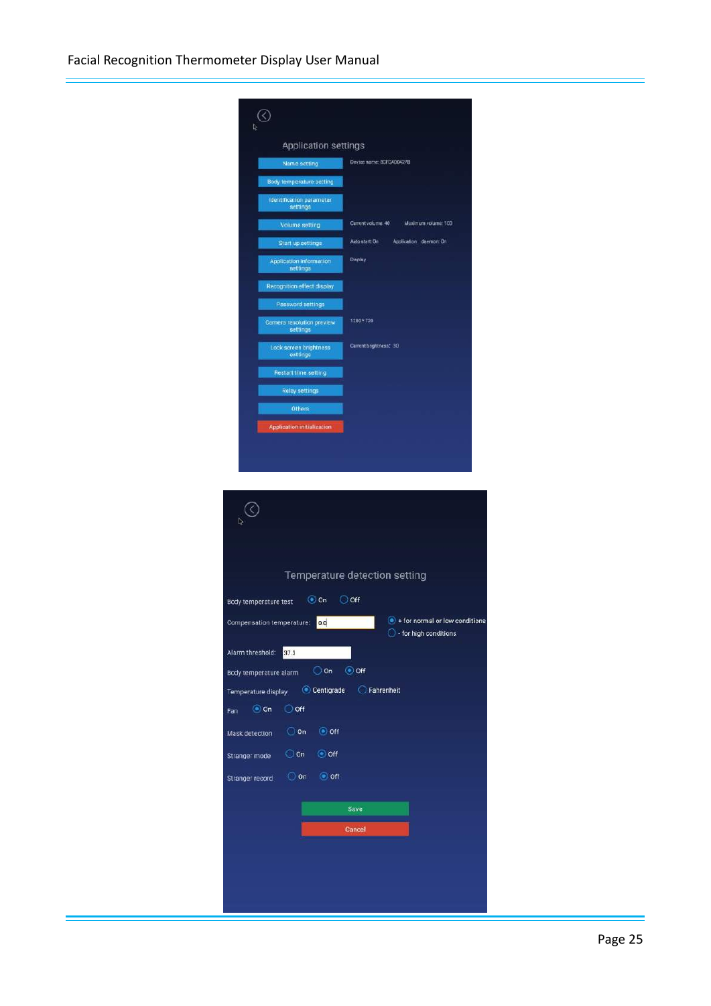Facial Recognition Thermometer Display User Manual

| Ď                                                   |                                                                   |
|-----------------------------------------------------|-------------------------------------------------------------------|
| Application settings                                |                                                                   |
| Name setting                                        | Device name: BCFCA00427B                                          |
| Body temperature setting                            |                                                                   |
| <b>Identification parameter</b><br>settings         |                                                                   |
| Volume setting                                      | Current volume: 40<br>Maximum volume: 100                         |
| Start up settings                                   | Auto start: On<br>Application deemon: On                          |
| Application Information<br>settings                 | <b>Dinploy</b>                                                    |
| Recognition effect display                          |                                                                   |
| Password settings                                   |                                                                   |
| Comera resolution preview<br>settings               | 1280 * 720                                                        |
| Lock screen brightness<br>settings                  | Current brightness: 30                                            |
| <b>Restart time setting</b>                         |                                                                   |
| Relay settings                                      |                                                                   |
| <b>Others</b>                                       |                                                                   |
| Application initialization                          |                                                                   |
|                                                     |                                                                   |
|                                                     | Temperature detection setting                                     |
| $\odot$ On<br>Body temperature test                 | O off                                                             |
| Compensation temperature:<br>0.0                    | $\bullet$ + for normal or low conditions<br>- for high conditions |
| Alarm threshold:<br>37.3                            |                                                                   |
| Body temperature alarm $\bigcirc$ On $\bigcirc$ Off |                                                                   |
| Temperature display @ Centigrade C Fahrenheit       |                                                                   |
| $\bullet$ On<br>$\bigcirc$ off<br>Fan               |                                                                   |
| $\odot$ off<br>$\bigcirc$ on<br>Mask detection      |                                                                   |
| $\bigcirc$ on<br>off<br>Stranger mode               |                                                                   |
| Stranger record Oon Ooff                            |                                                                   |
|                                                     | Save                                                              |
|                                                     |                                                                   |
|                                                     | <b>Gancel</b>                                                     |
|                                                     |                                                                   |
|                                                     |                                                                   |
|                                                     |                                                                   |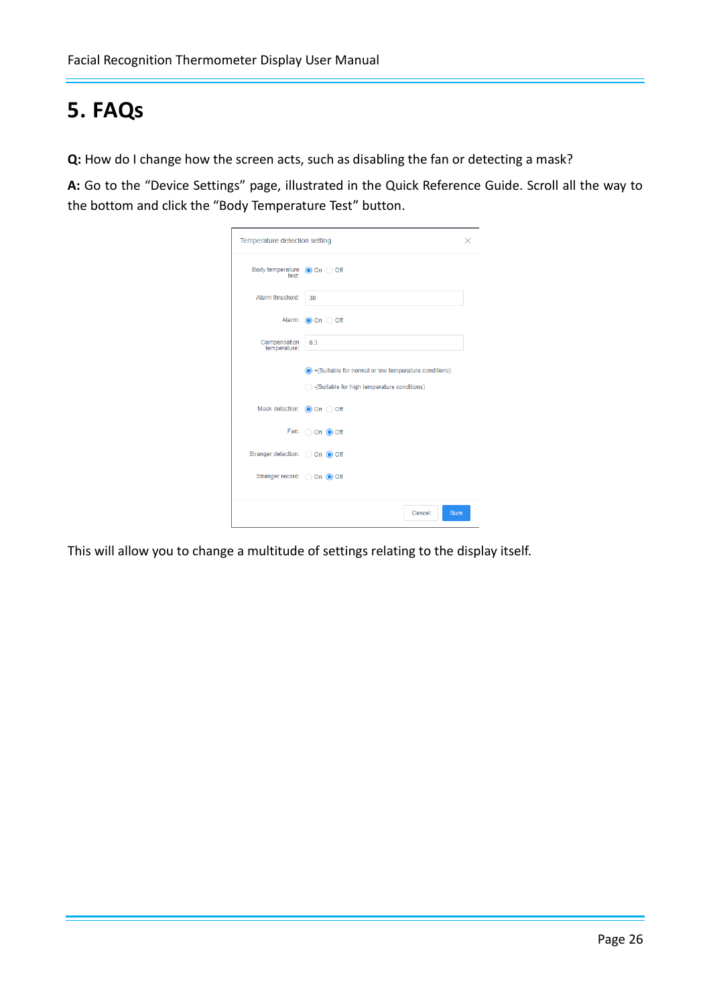# **5. FAQs**

**Q:** How do I change how the screen acts, such as disabling the fan or detecting a mask?

**A:** Go to the "Device Settings" page, illustrated in the Quick Reference Guide. Scroll all the way to the bottom and click the "Body Temperature Test" button.

| Temperature detection setting      |                                                                                                         |  |
|------------------------------------|---------------------------------------------------------------------------------------------------------|--|
| Body temperature O On Off<br>test: |                                                                                                         |  |
| Alarm threshold:                   | 38                                                                                                      |  |
|                                    | Alarm: On Off                                                                                           |  |
| Compensation<br>temperature:       | 0.3                                                                                                     |  |
|                                    | ● +(Suitable for normal or low temperature conditions)<br>◯ -(Suitable for high temperature conditions) |  |
| Mask detection: O On Off           |                                                                                                         |  |
|                                    | Fan: On Ooff                                                                                            |  |
| Stranger detection: On On Off      |                                                                                                         |  |
| Stranger record: On Off            |                                                                                                         |  |
|                                    | Cancel<br><b>Sure</b>                                                                                   |  |

This will allow you to change a multitude of settings relating to the display itself.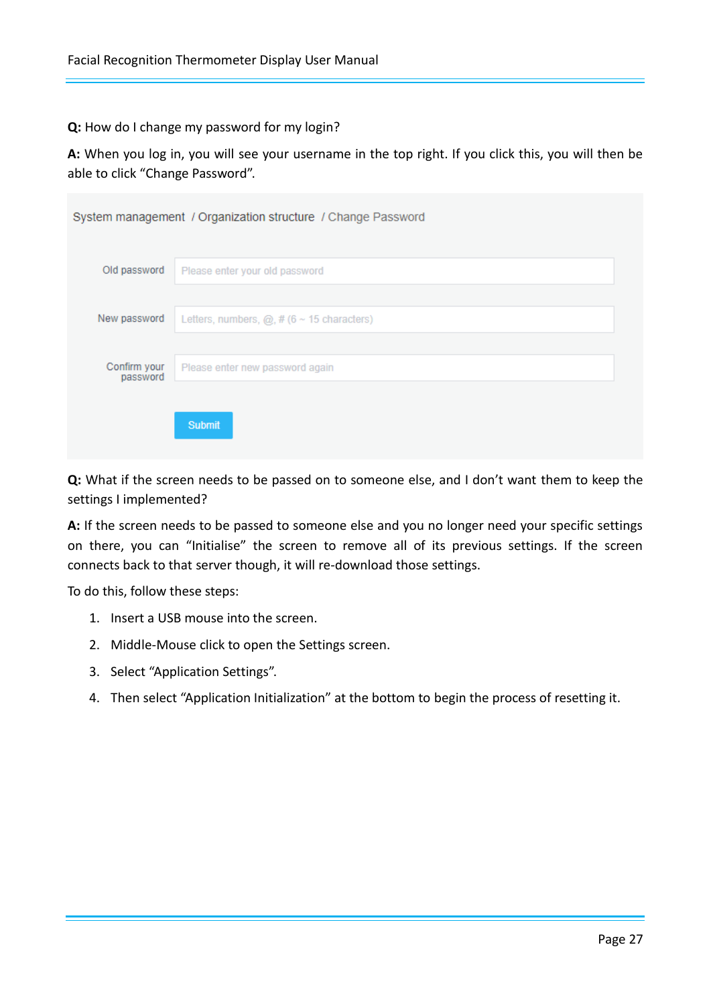**Q:** How do I change my password for my login?

**A:** When you log in, you will see your username in the top right. If you click this, you will then be able to click "Change Password".

| System management / Organization structure / Change Password |                                                    |  |
|--------------------------------------------------------------|----------------------------------------------------|--|
| Old password                                                 | Please enter your old password                     |  |
| New password                                                 | Letters, numbers, $\omega$ , # (6 ~ 15 characters) |  |
| Confirm your<br>password                                     | Please enter new password again                    |  |
|                                                              | <b>Submit</b>                                      |  |

**Q:** What if the screen needs to be passed on to someone else, and I don't want them to keep the settings I implemented?

**A:** If the screen needs to be passed to someone else and you no longer need your specific settings on there, you can "Initialise" the screen to remove all of its previous settings. If the screen connects back to that server though, it will re-download those settings.

To do this, follow these steps:

- 1. Insert a USB mouse into the screen.
- 2. Middle-Mouse click to open the Settings screen.
- 3. Select "Application Settings".
- 4. Then select "Application Initialization" at the bottom to begin the process of resetting it.